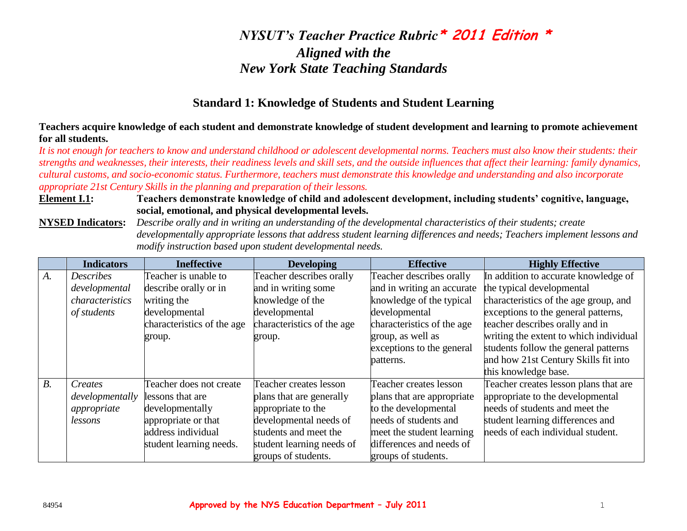### **Standard 1: Knowledge of Students and Student Learning**

**Teachers acquire knowledge of each student and demonstrate knowledge of student development and learning to promote achievement for all students.**

*It is not enough for teachers to know and understand childhood or adolescent developmental norms. Teachers must also know their students: their strengths and weaknesses, their interests, their readiness levels and skill sets, and the outside influences that affect their learning: family dynamics, cultural customs, and socio-economic status. Furthermore, teachers must demonstrate this knowledge and understanding and also incorporate appropriate 21st Century Skills in the planning and preparation of their lessons.* 

#### **Element I.1: Teachers demonstrate knowledge of child and adolescent development, including students' cognitive, language, social, emotional, and physical developmental levels.**

**NYSED Indicators:** *Describe orally and in writing an understanding of the developmental characteristics of their students; create developmentally appropriate lessons that address student learning differences and needs; Teachers implement lessons and modify instruction based upon student developmental needs.*

|             | <b>Indicators</b> | <b>Ineffective</b>         | <b>Developing</b>          | <b>Effective</b>           | <b>Highly Effective</b>                |
|-------------|-------------------|----------------------------|----------------------------|----------------------------|----------------------------------------|
| A.          | <b>Describes</b>  | Teacher is unable to       | Teacher describes orally   | Teacher describes orally   | In addition to accurate knowledge of   |
|             | developmental     | describe orally or in      | and in writing some        | and in writing an accurate | the typical developmental              |
|             | characteristics   | writing the                | knowledge of the           | knowledge of the typical   | characteristics of the age group, and  |
|             | of students       | developmental              | developmental              | developmental              | exceptions to the general patterns,    |
|             |                   | characteristics of the age | characteristics of the age | characteristics of the age | teacher describes orally and in        |
|             |                   | group.                     | group.                     | group, as well as          | writing the extent to which individual |
|             |                   |                            |                            | exceptions to the general  | students follow the general patterns   |
|             |                   |                            |                            | patterns.                  | and how 21st Century Skills fit into   |
|             |                   |                            |                            |                            | this knowledge base.                   |
| $B_{\cdot}$ | Creates           | Teacher does not create    | Teacher creates lesson     | Teacher creates lesson     | Teacher creates lesson plans that are  |
|             | developmentally   | lessons that are           | plans that are generally   | plans that are appropriate | appropriate to the developmental       |
|             | appropriate       | developmentally            | appropriate to the         | to the developmental       | needs of students and meet the         |
|             | lessons           | appropriate or that        | developmental needs of     | needs of students and      | student learning differences and       |
|             |                   | address individual         | students and meet the      | meet the student learning  | needs of each individual student.      |
|             |                   | student learning needs.    | student learning needs of  | differences and needs of   |                                        |
|             |                   |                            | groups of students.        | groups of students.        |                                        |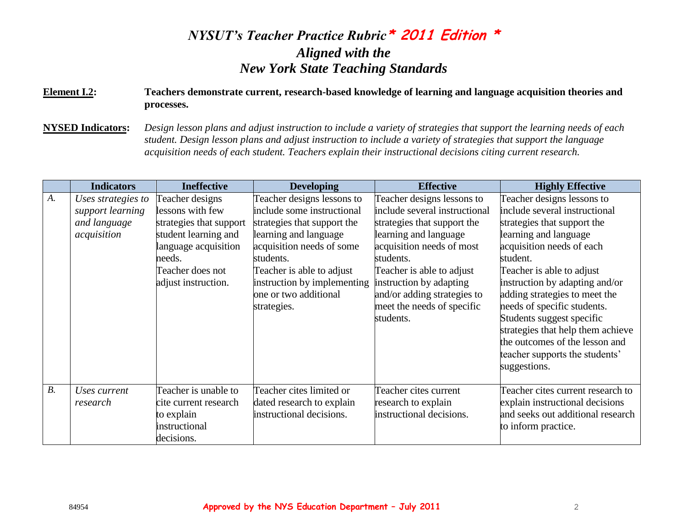#### **Element I.2: Teachers demonstrate current, research-based knowledge of learning and language acquisition theories and processes.**

**NYSED Indicators:** *Design lesson plans and adjust instruction to include a variety of strategies that support the learning needs of each student. Design lesson plans and adjust instruction to include a variety of strategies that support the language acquisition needs of each student. Teachers explain their instructional decisions citing current research.*

|       | <b>Indicators</b>                                                     | <b>Ineffective</b>                                                                                                                                                  | <b>Developing</b>                                                                                                                                                                                                                                              | <b>Effective</b>                                                                                                                                                                                                                                                                                | <b>Highly Effective</b>                                                                                                                                                                                                                                                                                                                                                                                                                           |
|-------|-----------------------------------------------------------------------|---------------------------------------------------------------------------------------------------------------------------------------------------------------------|----------------------------------------------------------------------------------------------------------------------------------------------------------------------------------------------------------------------------------------------------------------|-------------------------------------------------------------------------------------------------------------------------------------------------------------------------------------------------------------------------------------------------------------------------------------------------|---------------------------------------------------------------------------------------------------------------------------------------------------------------------------------------------------------------------------------------------------------------------------------------------------------------------------------------------------------------------------------------------------------------------------------------------------|
| A.    | Uses strategies to<br>support learning<br>and language<br>acquisition | Teacher designs<br>lessons with few<br>strategies that support<br>student learning and<br>language acquisition<br>needs.<br>Teacher does not<br>adjust instruction. | Teacher designs lessons to<br>include some instructional<br>strategies that support the<br>learning and language<br>acquisition needs of some<br>students.<br>Teacher is able to adjust<br>instruction by implementing<br>one or two additional<br>strategies. | Teacher designs lessons to<br>include several instructional<br>strategies that support the<br>learning and language<br>acquisition needs of most<br>students.<br>Teacher is able to adjust<br>instruction by adapting<br>and/or adding strategies to<br>meet the needs of specific<br>students. | Teacher designs lessons to<br>include several instructional<br>strategies that support the<br>learning and language<br>acquisition needs of each<br>student.<br>Teacher is able to adjust<br>instruction by adapting and/or<br>adding strategies to meet the<br>needs of specific students.<br>Students suggest specific<br>strategies that help them achieve<br>the outcomes of the lesson and<br>teacher supports the students'<br>suggestions. |
| $B$ . | Uses current<br>research                                              | Teacher is unable to<br>cite current research<br>to explain<br>instructional<br>decisions.                                                                          | Teacher cites limited or<br>dated research to explain<br>instructional decisions.                                                                                                                                                                              | Teacher cites current<br>research to explain<br>instructional decisions.                                                                                                                                                                                                                        | Teacher cites current research to<br>explain instructional decisions<br>and seeks out additional research<br>to inform practice.                                                                                                                                                                                                                                                                                                                  |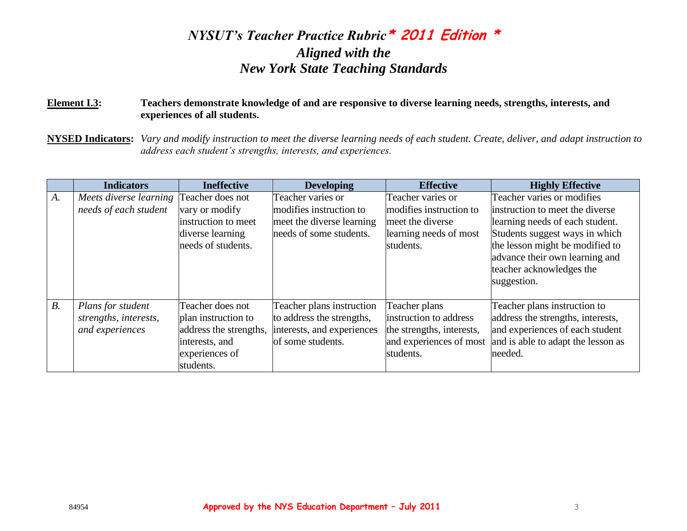#### **Element I.3: Teachers demonstrate knowledge of and are responsive to diverse learning needs, strengths, interests, and experiences of all students.**

**NYSED Indicators:** *Vary and modify instruction to meet the diverse learning needs of each student. Create, deliver, and adapt instruction to address each student's strengths, interests, and experiences.*

|       | <b>Indicators</b>                       | <b>Ineffective</b>     | <b>Developing</b>          | <b>Effective</b>          | <b>Highly Effective</b>            |
|-------|-----------------------------------------|------------------------|----------------------------|---------------------------|------------------------------------|
| A.    | Meets diverse learning Teacher does not |                        | Teacher varies or          | Teacher varies or         | Teacher varies or modifies         |
|       | needs of each student                   | vary or modify         | modifies instruction to    | modifies instruction to   | instruction to meet the diverse    |
|       |                                         | instruction to meet    | meet the diverse learning  | meet the diverse          | learning needs of each student.    |
|       |                                         | diverse learning       | needs of some students.    | learning needs of most    | Students suggest ways in which     |
|       |                                         | needs of students.     |                            | students.                 | the lesson might be modified to    |
|       |                                         |                        |                            |                           | advance their own learning and     |
|       |                                         |                        |                            |                           | teacher acknowledges the           |
|       |                                         |                        |                            |                           | suggestion.                        |
|       |                                         |                        |                            |                           |                                    |
| $B$ . | Plans for student                       | Teacher does not       | Teacher plans instruction  | Teacher plans             | Teacher plans instruction to       |
|       | strengths, interests,                   | plan instruction to    | to address the strengths,  | instruction to address    | address the strengths, interests,  |
|       | and experiences                         | address the strengths, | interests, and experiences | the strengths, interests, | and experiences of each student    |
|       |                                         | interests, and         | of some students.          | and experiences of most   | and is able to adapt the lesson as |
|       |                                         | experiences of         |                            | students.                 | needed.                            |
|       |                                         | students.              |                            |                           |                                    |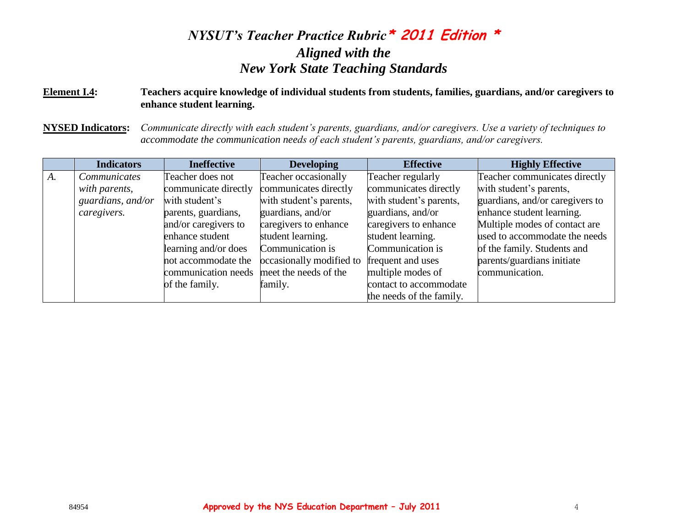#### **Element I.4: Teachers acquire knowledge of individual students from students, families, guardians, and/or caregivers to enhance student learning.**

**NYSED Indicators:** *Communicate directly with each student's parents, guardians, and/or caregivers. Use a variety of techniques to accommodate the communication needs of each student's parents, guardians, and/or caregivers.*

|       | <b>Indicators</b> | <b>Ineffective</b>   | <b>Developing</b>        | <b>Effective</b>         | <b>Highly Effective</b>         |
|-------|-------------------|----------------------|--------------------------|--------------------------|---------------------------------|
| $A$ . | Communicates      | Teacher does not     | Teacher occasionally     | Teacher regularly        | Teacher communicates directly   |
|       | with parents,     | communicate directly | communicates directly    | communicates directly    | with student's parents,         |
|       | guardians, and/or | with student's       | with student's parents,  | with student's parents,  | guardians, and/or caregivers to |
|       | caregivers.       | parents, guardians,  | guardians, and/or        | guardians, and/or        | enhance student learning.       |
|       |                   | and/or caregivers to | caregivers to enhance    | caregivers to enhance    | Multiple modes of contact are   |
|       |                   | enhance student      | student learning.        | student learning.        | used to accommodate the needs   |
|       |                   | learning and/or does | Communication is         | Communication is         | of the family. Students and     |
|       |                   | not accommodate the  | occasionally modified to | frequent and uses        | parents/guardians initiate      |
|       |                   | communication needs  | meet the needs of the    | multiple modes of        | communication.                  |
|       |                   | of the family.       | family.                  | contact to accommodate   |                                 |
|       |                   |                      |                          | the needs of the family. |                                 |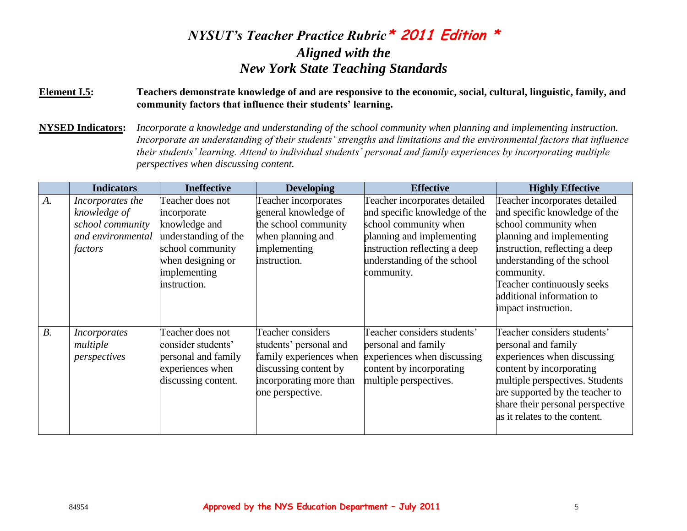#### **Element I.5: Teachers demonstrate knowledge of and are responsive to the economic, social, cultural, linguistic, family, and community factors that influence their students' learning.**

**NYSED Indicators:** *Incorporate a knowledge and understanding of the school community when planning and implementing instruction. Incorporate an understanding of their students' strengths and limitations and the environmental factors that influence their students' learning. Attend to individual students' personal and family experiences by incorporating multiple perspectives when discussing content.*

|             | <b>Indicators</b>   | <b>Ineffective</b>   | <b>Developing</b>       | <b>Effective</b>              | <b>Highly Effective</b>          |
|-------------|---------------------|----------------------|-------------------------|-------------------------------|----------------------------------|
| $A_{\cdot}$ | Incorporates the    | Teacher does not     | Teacher incorporates    | Teacher incorporates detailed | Teacher incorporates detailed    |
|             | knowledge of        | incorporate          | general knowledge of    | and specific knowledge of the | and specific knowledge of the    |
|             | school community    | knowledge and        | the school community    | school community when         | school community when            |
|             | and environmental   | understanding of the | when planning and       | planning and implementing     | planning and implementing        |
|             | factors             | school community     | implementing            | instruction reflecting a deep | instruction, reflecting a deep   |
|             |                     | when designing or    | instruction.            | understanding of the school   | understanding of the school      |
|             |                     | implementing         |                         | community.                    | community.                       |
|             |                     | instruction.         |                         |                               | Teacher continuously seeks       |
|             |                     |                      |                         |                               | additional information to        |
|             |                     |                      |                         |                               | impact instruction.              |
|             |                     |                      |                         |                               |                                  |
| $B$ .       | <i>Incorporates</i> | Teacher does not     | Teacher considers       | Teacher considers students'   | Teacher considers students'      |
|             | multiple            | consider students'   | students' personal and  | personal and family           | personal and family              |
|             | perspectives        | personal and family  | family experiences when | experiences when discussing   | experiences when discussing      |
|             |                     | experiences when     | discussing content by   | content by incorporating      | content by incorporating         |
|             |                     | discussing content.  | incorporating more than | multiple perspectives.        | multiple perspectives. Students  |
|             |                     |                      | one perspective.        |                               | are supported by the teacher to  |
|             |                     |                      |                         |                               | share their personal perspective |
|             |                     |                      |                         |                               | as it relates to the content.    |
|             |                     |                      |                         |                               |                                  |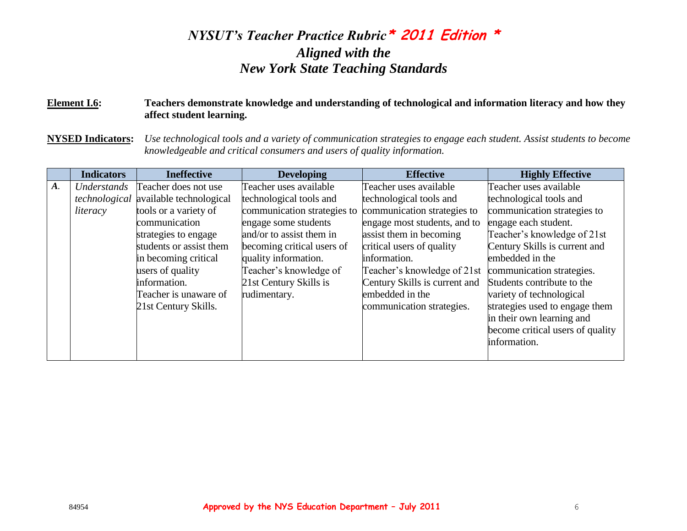#### **Element I.6: Teachers demonstrate knowledge and understanding of technological and information literacy and how they affect student learning.**

**NYSED Indicators:** *Use technological tools and a variety of communication strategies to engage each student. Assist students to become knowledgeable and critical consumers and users of quality information.*

|       | <b>Indicators</b> | <b>Ineffective</b>                    | <b>Developing</b>           | <b>Effective</b>              | <b>Highly Effective</b>          |
|-------|-------------------|---------------------------------------|-----------------------------|-------------------------------|----------------------------------|
| $A$ . | Understands       | Teacher does not use                  | Teacher uses available      | Teacher uses available        | Teacher uses available           |
|       |                   | technological available technological | technological tools and     | technological tools and       | technological tools and          |
|       | literacy          | tools or a variety of                 | communication strategies to | communication strategies to   | communication strategies to      |
|       |                   | communication                         | engage some students        | engage most students, and to  | engage each student.             |
|       |                   | strategies to engage                  | and/or to assist them in    | assist them in becoming       | Teacher's knowledge of 21st      |
|       |                   | students or assist them               | becoming critical users of  | critical users of quality     | Century Skills is current and    |
|       |                   | in becoming critical                  | quality information.        | information.                  | embedded in the                  |
|       |                   | users of quality                      | Teacher's knowledge of      | Teacher's knowledge of 21st   | communication strategies.        |
|       |                   | information.                          | 21st Century Skills is      | Century Skills is current and | Students contribute to the       |
|       |                   | Teacher is unaware of                 | rudimentary.                | embedded in the               | variety of technological         |
|       |                   | 21st Century Skills.                  |                             | communication strategies.     | strategies used to engage them   |
|       |                   |                                       |                             |                               | in their own learning and        |
|       |                   |                                       |                             |                               | become critical users of quality |
|       |                   |                                       |                             |                               | information.                     |
|       |                   |                                       |                             |                               |                                  |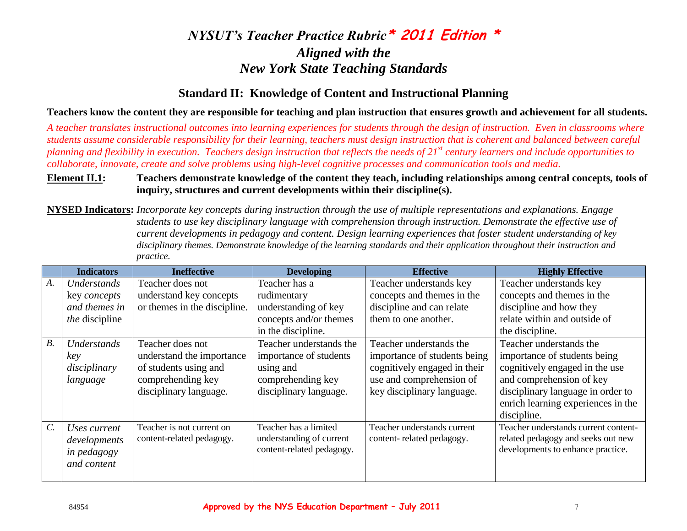### **Standard II: Knowledge of Content and Instructional Planning**

**Teachers know the content they are responsible for teaching and plan instruction that ensures growth and achievement for all students.**

*A teacher translates instructional outcomes into learning experiences for students through the design of instruction. Even in classrooms where students assume considerable responsibility for their learning, teachers must design instruction that is coherent and balanced between careful planning and flexibility in execution. Teachers design instruction that reflects the needs of 21st century learners and include opportunities to collaborate, innovate, create and solve problems using high-level cognitive processes and communication tools and media.* 

#### **Element II.1: Teachers demonstrate knowledge of the content they teach, including relationships among central concepts, tools of inquiry, structures and current developments within their discipline(s).**

**NYSED Indicators:** *Incorporate key concepts during instruction through the use of multiple representations and explanations. Engage students to use key disciplinary language with comprehension through instruction. Demonstrate the effective use of current developments in pedagogy and content. Design learning experiences that foster student understanding of key disciplinary themes. Demonstrate knowledge of the learning standards and their application throughout their instruction and practice.*

|                  | <b>Indicators</b>     | <b>Ineffective</b>           | <b>Developing</b>         | <b>Effective</b>             | <b>Highly Effective</b>              |
|------------------|-----------------------|------------------------------|---------------------------|------------------------------|--------------------------------------|
| A.               | Understands           | Teacher does not             | Teacher has a             | Teacher understands key      | Teacher understands key              |
|                  | key <i>concepts</i>   | understand key concepts      | rudimentary               | concepts and themes in the   | concepts and themes in the           |
|                  | and themes in         | or themes in the discipline. | understanding of key      | discipline and can relate    | discipline and how they              |
|                  | <i>the</i> discipline |                              | concepts and/or themes    | them to one another.         | relate within and outside of         |
|                  |                       |                              | in the discipline.        |                              | the discipline.                      |
| $B$ .            | Understands           | Teacher does not             | Teacher understands the   | Teacher understands the      | Teacher understands the              |
|                  | key                   | understand the importance    | importance of students    | importance of students being | importance of students being         |
|                  | disciplinary          | of students using and        | using and                 | cognitively engaged in their | cognitively engaged in the use       |
|                  | language              | comprehending key            | comprehending key         | use and comprehension of     | and comprehension of key             |
|                  |                       | disciplinary language.       | disciplinary language.    | key disciplinary language.   | disciplinary language in order to    |
|                  |                       |                              |                           |                              | enrich learning experiences in the   |
|                  |                       |                              |                           |                              | discipline.                          |
| $\overline{C}$ . | Uses current          | Teacher is not current on    | Teacher has a limited     | Teacher understands current  | Teacher understands current content- |
|                  | developments          | content-related pedagogy.    | understanding of current  | content-related pedagogy.    | related pedagogy and seeks out new   |
|                  | in pedagogy           |                              | content-related pedagogy. |                              | developments to enhance practice.    |
|                  | and content           |                              |                           |                              |                                      |
|                  |                       |                              |                           |                              |                                      |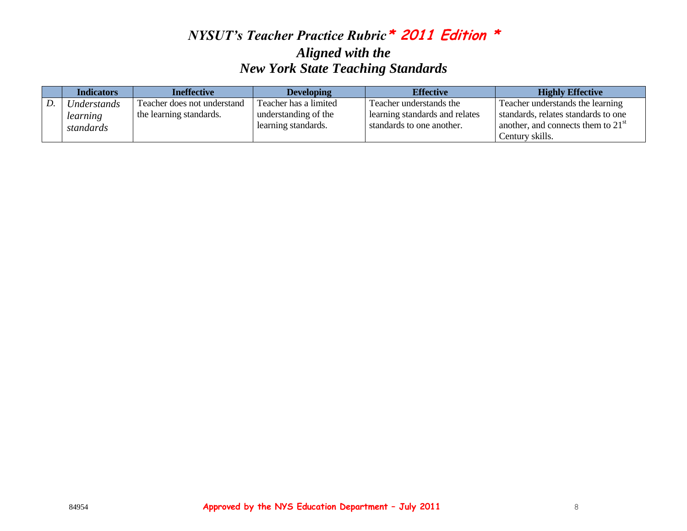| <b>Indicators</b> | <b>Ineffective</b>          | <b>Developing</b>     | <b>Effective</b>               | <b>Highly Effective</b>              |
|-------------------|-----------------------------|-----------------------|--------------------------------|--------------------------------------|
| Understands       | Teacher does not understand | Teacher has a limited | Teacher understands the        | Teacher understands the learning     |
| learning          | the learning standards.     | understanding of the  | learning standards and relates | standards, relates standards to one  |
| standards         |                             | learning standards.   | standards to one another.      | another, and connects them to $21st$ |
|                   |                             |                       |                                | Century skills.                      |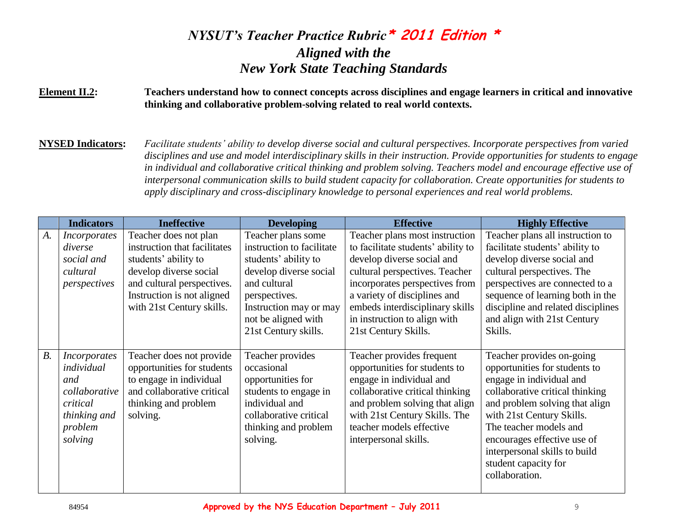#### **Element II.2: Teachers understand how to connect concepts across disciplines and engage learners in critical and innovative thinking and collaborative problem-solving related to real world contexts.**

**NYSED Indicators:** *Facilitate students' ability to develop diverse social and cultural perspectives. Incorporate perspectives from varied disciplines and use and model interdisciplinary skills in their instruction. Provide opportunities for students to engage in individual and collaborative critical thinking and problem solving. Teachers model and encourage effective use of interpersonal communication skills to build student capacity for collaboration. Create opportunities for students to apply disciplinary and cross-disciplinary knowledge to personal experiences and real world problems.*

|       | <b>Indicators</b>                                                                                           | <b>Ineffective</b>                                                                                                                                                                               | <b>Developing</b>                                                                                                                                                                                           | <b>Effective</b>                                                                                                                                                                                                                                                                                  | <b>Highly Effective</b>                                                                                                                                                                                                                                                                                                      |
|-------|-------------------------------------------------------------------------------------------------------------|--------------------------------------------------------------------------------------------------------------------------------------------------------------------------------------------------|-------------------------------------------------------------------------------------------------------------------------------------------------------------------------------------------------------------|---------------------------------------------------------------------------------------------------------------------------------------------------------------------------------------------------------------------------------------------------------------------------------------------------|------------------------------------------------------------------------------------------------------------------------------------------------------------------------------------------------------------------------------------------------------------------------------------------------------------------------------|
| A.    | <b>Incorporates</b><br>diverse<br>social and<br>cultural<br>perspectives                                    | Teacher does not plan<br>instruction that facilitates<br>students' ability to<br>develop diverse social<br>and cultural perspectives.<br>Instruction is not aligned<br>with 21st Century skills. | Teacher plans some<br>instruction to facilitate<br>students' ability to<br>develop diverse social<br>and cultural<br>perspectives.<br>Instruction may or may<br>not be aligned with<br>21st Century skills. | Teacher plans most instruction<br>to facilitate students' ability to<br>develop diverse social and<br>cultural perspectives. Teacher<br>incorporates perspectives from<br>a variety of disciplines and<br>embeds interdisciplinary skills<br>in instruction to align with<br>21st Century Skills. | Teacher plans all instruction to<br>facilitate students' ability to<br>develop diverse social and<br>cultural perspectives. The<br>perspectives are connected to a<br>sequence of learning both in the<br>discipline and related disciplines<br>and align with 21st Century<br>Skills.                                       |
| $B$ . | <i>Incorporates</i><br>individual<br>and<br>collaborative<br>critical<br>thinking and<br>problem<br>solving | Teacher does not provide<br>opportunities for students<br>to engage in individual<br>and collaborative critical<br>thinking and problem<br>solving.                                              | Teacher provides<br>occasional<br>opportunities for<br>students to engage in<br>individual and<br>collaborative critical<br>thinking and problem<br>solving.                                                | Teacher provides frequent<br>opportunities for students to<br>engage in individual and<br>collaborative critical thinking<br>and problem solving that align<br>with 21st Century Skills. The<br>teacher models effective<br>interpersonal skills.                                                 | Teacher provides on-going<br>opportunities for students to<br>engage in individual and<br>collaborative critical thinking<br>and problem solving that align<br>with 21st Century Skills.<br>The teacher models and<br>encourages effective use of<br>interpersonal skills to build<br>student capacity for<br>collaboration. |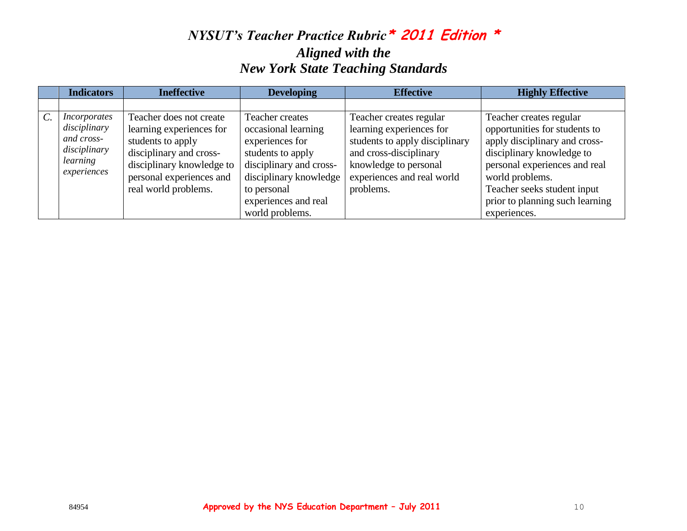| <b>Indicators</b>                                                                            | <b>Ineffective</b>                                                                                                                                                                   | <b>Developing</b>                                                                                                                                                          | <b>Effective</b>                                                                                                                                                                    | <b>Highly Effective</b>                                                                                                                                                                                                                      |
|----------------------------------------------------------------------------------------------|--------------------------------------------------------------------------------------------------------------------------------------------------------------------------------------|----------------------------------------------------------------------------------------------------------------------------------------------------------------------------|-------------------------------------------------------------------------------------------------------------------------------------------------------------------------------------|----------------------------------------------------------------------------------------------------------------------------------------------------------------------------------------------------------------------------------------------|
|                                                                                              |                                                                                                                                                                                      |                                                                                                                                                                            |                                                                                                                                                                                     |                                                                                                                                                                                                                                              |
| <i>Incorporates</i><br>disciplinary<br>and cross-<br>disciplinary<br>learning<br>experiences | Teacher does not create<br>learning experiences for<br>students to apply<br>disciplinary and cross-<br>disciplinary knowledge to<br>personal experiences and<br>real world problems. | Teacher creates<br>occasional learning<br>experiences for<br>students to apply<br>disciplinary and cross-<br>disciplinary knowledge<br>to personal<br>experiences and real | Teacher creates regular<br>learning experiences for<br>students to apply disciplinary<br>and cross-disciplinary<br>knowledge to personal<br>experiences and real world<br>problems. | Teacher creates regular<br>opportunities for students to<br>apply disciplinary and cross-<br>disciplinary knowledge to<br>personal experiences and real<br>world problems.<br>Teacher seeks student input<br>prior to planning such learning |
|                                                                                              |                                                                                                                                                                                      | world problems.                                                                                                                                                            |                                                                                                                                                                                     | experiences.                                                                                                                                                                                                                                 |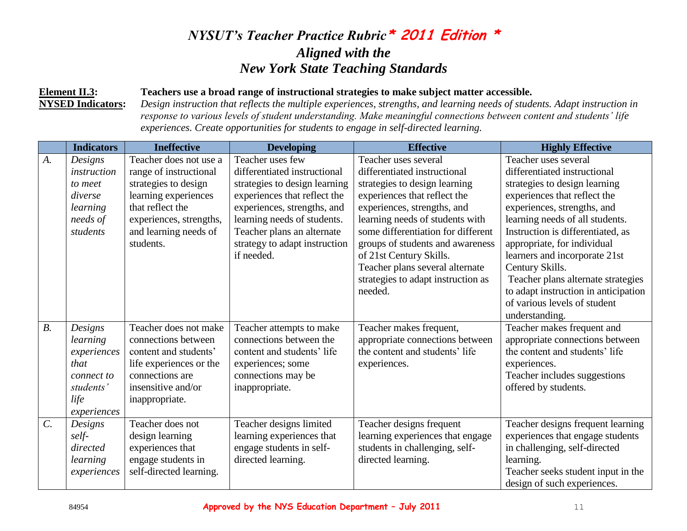#### **Element II.3: Teachers use a broad range of instructional strategies to make subject matter accessible.**

**NYSED Indicators:** *Design instruction that reflects the multiple experiences, strengths, and learning needs of students. Adapt instruction in response to various levels of student understanding. Make meaningful connections between content and students' life experiences. Create opportunities for students to engage in self-directed learning.*

|                 | <b>Indicators</b> | <b>Ineffective</b>      | <b>Developing</b>             | <b>Effective</b>                   | <b>Highly Effective</b>              |
|-----------------|-------------------|-------------------------|-------------------------------|------------------------------------|--------------------------------------|
| A.              | Designs           | Teacher does not use a  | Teacher uses few              | Teacher uses several               | Teacher uses several                 |
|                 | instruction       | range of instructional  | differentiated instructional  | differentiated instructional       | differentiated instructional         |
|                 | to meet           | strategies to design    | strategies to design learning | strategies to design learning      | strategies to design learning        |
|                 | diverse           | learning experiences    | experiences that reflect the  | experiences that reflect the       | experiences that reflect the         |
|                 | learning          | that reflect the        | experiences, strengths, and   | experiences, strengths, and        | experiences, strengths, and          |
|                 | needs of          | experiences, strengths, | learning needs of students.   | learning needs of students with    | learning needs of all students.      |
|                 | students          | and learning needs of   | Teacher plans an alternate    | some differentiation for different | Instruction is differentiated, as    |
|                 |                   | students.               | strategy to adapt instruction | groups of students and awareness   | appropriate, for individual          |
|                 |                   |                         | if needed.                    | of 21st Century Skills.            | learners and incorporate 21st        |
|                 |                   |                         |                               | Teacher plans several alternate    | Century Skills.                      |
|                 |                   |                         |                               | strategies to adapt instruction as | Teacher plans alternate strategies   |
|                 |                   |                         |                               | needed.                            | to adapt instruction in anticipation |
|                 |                   |                         |                               |                                    | of various levels of student         |
|                 |                   |                         |                               |                                    | understanding.                       |
| $B$ .           | Designs           | Teacher does not make   | Teacher attempts to make      | Teacher makes frequent,            | Teacher makes frequent and           |
|                 | learning          | connections between     | connections between the       | appropriate connections between    | appropriate connections between      |
|                 | experiences       | content and students'   | content and students' life    | the content and students' life     | the content and students' life       |
|                 | that              | life experiences or the | experiences; some             | experiences.                       | experiences.                         |
|                 | connect to        | connections are         | connections may be            |                                    | Teacher includes suggestions         |
|                 | students'         | insensitive and/or      | inappropriate.                |                                    | offered by students.                 |
|                 | life              | inappropriate.          |                               |                                    |                                      |
|                 | experiences       |                         |                               |                                    |                                      |
| $\mathcal{C}$ . | Designs           | Teacher does not        | Teacher designs limited       | Teacher designs frequent           | Teacher designs frequent learning    |
|                 | self-             | design learning         | learning experiences that     | learning experiences that engage   | experiences that engage students     |
|                 | directed          | experiences that        | engage students in self-      | students in challenging, self-     | in challenging, self-directed        |
|                 | learning          | engage students in      | directed learning.            | directed learning.                 | learning.                            |
|                 | experiences       | self-directed learning. |                               |                                    | Teacher seeks student input in the   |
|                 |                   |                         |                               |                                    | design of such experiences.          |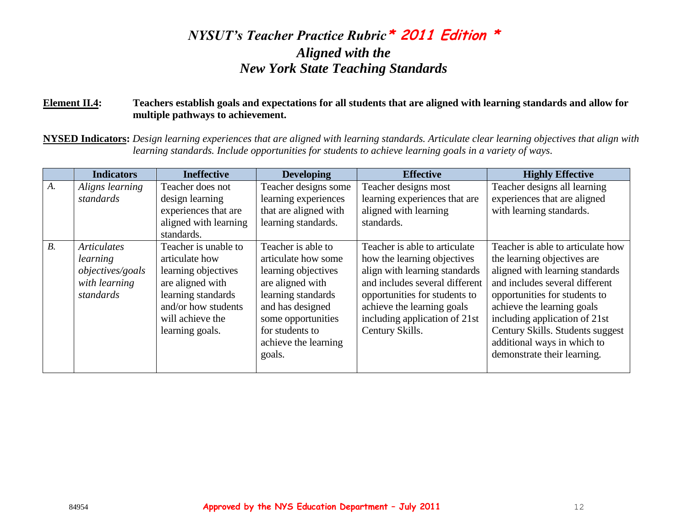#### **Element II.4: Teachers establish goals and expectations for all students that are aligned with learning standards and allow for multiple pathways to achievement.**

**NYSED Indicators:** *Design learning experiences that are aligned with learning standards. Articulate clear learning objectives that align with learning standards. Include opportunities for students to achieve learning goals in a variety of ways.*

|       | <b>Indicators</b>                                                                | <b>Ineffective</b>                                                                                                                                                    | <b>Developing</b>                                                                                                                                                                                         | <b>Effective</b>                                                                                                                                                                                                                                   | <b>Highly Effective</b>                                                                                                                                                                                                                                                                                                                 |
|-------|----------------------------------------------------------------------------------|-----------------------------------------------------------------------------------------------------------------------------------------------------------------------|-----------------------------------------------------------------------------------------------------------------------------------------------------------------------------------------------------------|----------------------------------------------------------------------------------------------------------------------------------------------------------------------------------------------------------------------------------------------------|-----------------------------------------------------------------------------------------------------------------------------------------------------------------------------------------------------------------------------------------------------------------------------------------------------------------------------------------|
| $A$ . | Aligns learning<br>standards                                                     | Teacher does not<br>design learning<br>experiences that are<br>aligned with learning<br>standards.                                                                    | Teacher designs some<br>learning experiences<br>that are aligned with<br>learning standards.                                                                                                              | Teacher designs most<br>learning experiences that are<br>aligned with learning<br>standards.                                                                                                                                                       | Teacher designs all learning<br>experiences that are aligned<br>with learning standards.                                                                                                                                                                                                                                                |
| $B$ . | <b>Articulates</b><br>learning<br>objectives/goals<br>with learning<br>standards | Teacher is unable to<br>articulate how<br>learning objectives<br>are aligned with<br>learning standards<br>and/or how students<br>will achieve the<br>learning goals. | Teacher is able to<br>articulate how some<br>learning objectives<br>are aligned with<br>learning standards<br>and has designed<br>some opportunities<br>for students to<br>achieve the learning<br>goals. | Teacher is able to articulate<br>how the learning objectives<br>align with learning standards<br>and includes several different<br>opportunities for students to<br>achieve the learning goals<br>including application of 21st<br>Century Skills. | Teacher is able to articulate how<br>the learning objectives are<br>aligned with learning standards<br>and includes several different<br>opportunities for students to<br>achieve the learning goals<br>including application of 21st<br>Century Skills. Students suggest<br>additional ways in which to<br>demonstrate their learning. |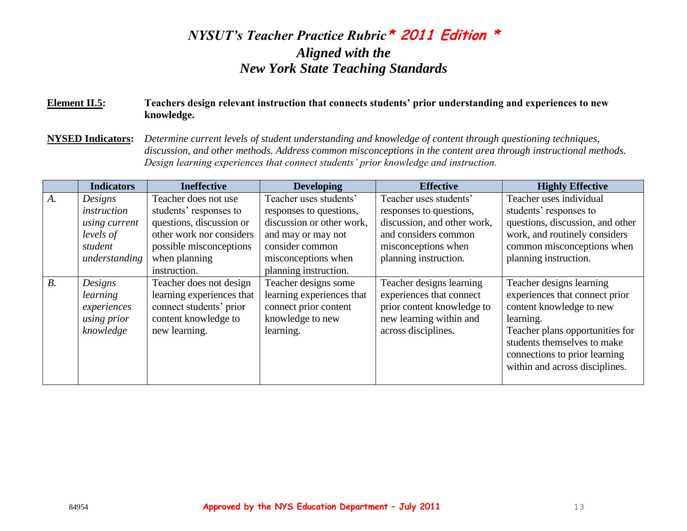#### **Element II.5: Teachers design relevant instruction that connects students' prior understanding and experiences to new knowledge.**

**NYSED Indicators:** *Determine current levels of student understanding and knowledge of content through questioning techniques, discussion, and other methods. Address common misconceptions in the content area through instructional methods. Design learning experiences that connect students' prior knowledge and instruction.* 

|       | <b>Indicators</b> | <b>Ineffective</b>        | <b>Developing</b>         | <b>Effective</b>            | <b>Highly Effective</b>          |
|-------|-------------------|---------------------------|---------------------------|-----------------------------|----------------------------------|
| $A$ . | Designs           | Teacher does not use      | Teacher uses students'    | Teacher uses students'      | Teacher uses individual          |
|       | instruction       | students' responses to    | responses to questions,   | responses to questions,     | students' responses to           |
|       | using current     | questions, discussion or  | discussion or other work, | discussion, and other work, | questions, discussion, and other |
|       | levels of         | other work nor considers  | and may or may not        | and considers common        | work, and routinely considers    |
|       | student           | possible misconceptions   | consider common           | misconceptions when         | common misconceptions when       |
|       | understanding     | when planning             | misconceptions when       | planning instruction.       | planning instruction.            |
|       |                   | instruction.              | planning instruction.     |                             |                                  |
| $B$ . | Designs           | Teacher does not design   | Teacher designs some      | Teacher designs learning    | Teacher designs learning         |
|       | learning          | learning experiences that | learning experiences that | experiences that connect    | experiences that connect prior   |
|       | experiences       | connect students' prior   | connect prior content     | prior content knowledge to  | content knowledge to new         |
|       | using prior       | content knowledge to      | knowledge to new          | new learning within and     | learning.                        |
|       | knowledge         | new learning.             | learning.                 | across disciplines.         | Teacher plans opportunities for  |
|       |                   |                           |                           |                             | students themselves to make      |
|       |                   |                           |                           |                             | connections to prior learning    |
|       |                   |                           |                           |                             | within and across disciplines.   |
|       |                   |                           |                           |                             |                                  |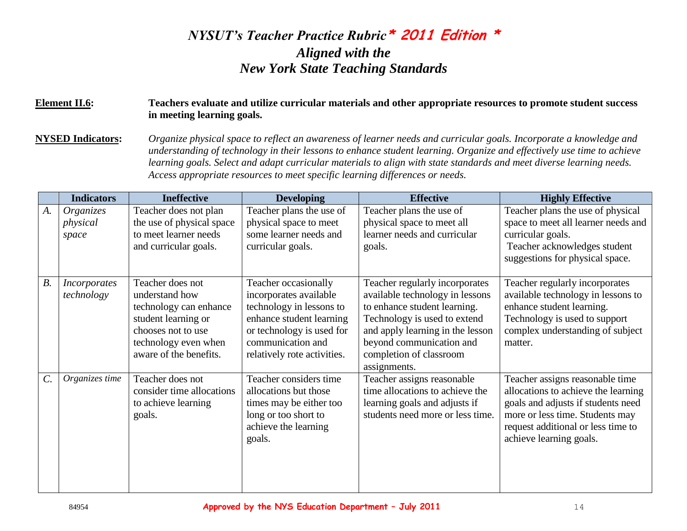#### **Element II.6: Teachers evaluate and utilize curricular materials and other appropriate resources to promote student success in meeting learning goals.**

**NYSED Indicators:** *Organize physical space to reflect an awareness of learner needs and curricular goals. Incorporate a knowledge and understanding of technology in their lessons to enhance student learning. Organize and effectively use time to achieve learning goals. Select and adapt curricular materials to align with state standards and meet diverse learning needs. Access appropriate resources to meet specific learning differences or needs.*

|                 | <b>Indicators</b>                 | <b>Ineffective</b>                                                                                                                                          | <b>Developing</b>                                                                                                                                                                       | <b>Effective</b>                                                                                                                                                                                                                             | <b>Highly Effective</b>                                                                                                                                                                                          |
|-----------------|-----------------------------------|-------------------------------------------------------------------------------------------------------------------------------------------------------------|-----------------------------------------------------------------------------------------------------------------------------------------------------------------------------------------|----------------------------------------------------------------------------------------------------------------------------------------------------------------------------------------------------------------------------------------------|------------------------------------------------------------------------------------------------------------------------------------------------------------------------------------------------------------------|
| A.              | Organizes<br>physical<br>space    | Teacher does not plan<br>the use of physical space<br>to meet learner needs<br>and curricular goals.                                                        | Teacher plans the use of<br>physical space to meet<br>some learner needs and<br>curricular goals.                                                                                       | Teacher plans the use of<br>physical space to meet all<br>learner needs and curricular<br>goals.                                                                                                                                             | Teacher plans the use of physical<br>space to meet all learner needs and<br>curricular goals.<br>Teacher acknowledges student<br>suggestions for physical space.                                                 |
| $B$ .           | <i>Incorporates</i><br>technology | Teacher does not<br>understand how<br>technology can enhance<br>student learning or<br>chooses not to use<br>technology even when<br>aware of the benefits. | Teacher occasionally<br>incorporates available<br>technology in lessons to<br>enhance student learning<br>or technology is used for<br>communication and<br>relatively rote activities. | Teacher regularly incorporates<br>available technology in lessons<br>to enhance student learning.<br>Technology is used to extend<br>and apply learning in the lesson<br>beyond communication and<br>completion of classroom<br>assignments. | Teacher regularly incorporates<br>available technology in lessons to<br>enhance student learning.<br>Technology is used to support<br>complex understanding of subject<br>matter.                                |
| $\mathcal{C}$ . | Organizes time                    | Teacher does not<br>consider time allocations<br>to achieve learning<br>goals.                                                                              | Teacher considers time<br>allocations but those<br>times may be either too<br>long or too short to<br>achieve the learning<br>goals.                                                    | Teacher assigns reasonable<br>time allocations to achieve the<br>learning goals and adjusts if<br>students need more or less time.                                                                                                           | Teacher assigns reasonable time<br>allocations to achieve the learning<br>goals and adjusts if students need<br>more or less time. Students may<br>request additional or less time to<br>achieve learning goals. |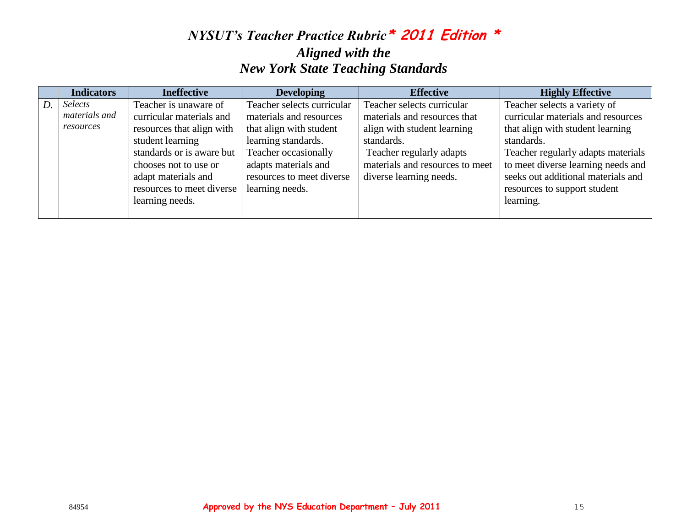|    | <b>Indicators</b> | <b>Ineffective</b>        | <b>Developing</b>          | <b>Effective</b>                | <b>Highly Effective</b>            |
|----|-------------------|---------------------------|----------------------------|---------------------------------|------------------------------------|
| D. | Selects           | Teacher is unaware of     | Teacher selects curricular | Teacher selects curricular      | Teacher selects a variety of       |
|    | materials and     | curricular materials and  | materials and resources    | materials and resources that    | curricular materials and resources |
|    | resources         | resources that align with | that align with student    | align with student learning     | that align with student learning   |
|    |                   | student learning          | learning standards.        | standards.                      | standards.                         |
|    |                   | standards or is aware but | Teacher occasionally       | Teacher regularly adapts        | Teacher regularly adapts materials |
|    |                   | chooses not to use or     | adapts materials and       | materials and resources to meet | to meet diverse learning needs and |
|    |                   | adapt materials and       | resources to meet diverse  | diverse learning needs.         | seeks out additional materials and |
|    |                   | resources to meet diverse | learning needs.            |                                 | resources to support student       |
|    |                   | learning needs.           |                            |                                 | learning.                          |
|    |                   |                           |                            |                                 |                                    |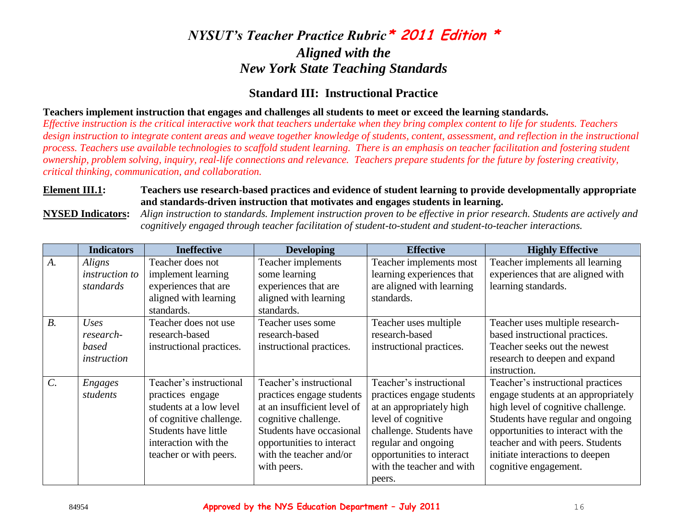### **Standard III: Instructional Practice**

#### **Teachers implement instruction that engages and challenges all students to meet or exceed the learning standards.**

*Effective instruction is the critical interactive work that teachers undertake when they bring complex content to life for students. Teachers design instruction to integrate content areas and weave together knowledge of students, content, assessment, and reflection in the instructional process. Teachers use available technologies to scaffold student learning. There is an emphasis on teacher facilitation and fostering student ownership, problem solving, inquiry, real-life connections and relevance. Teachers prepare students for the future by fostering creativity, critical thinking, communication, and collaboration.*

#### **Element III.1: Teachers use research-based practices and evidence of student learning to provide developmentally appropriate and standards-driven instruction that motivates and engages students in learning.**

**NYSED Indicators:** *Align instruction to standards. Implement instruction proven to be effective in prior research. Students are actively and cognitively engaged through teacher facilitation of student-to-student and student-to-teacher interactions.*

|                 | <b>Indicators</b>     | <b>Ineffective</b>          | <b>Developing</b>           | <b>Effective</b>          | <b>Highly Effective</b>             |
|-----------------|-----------------------|-----------------------------|-----------------------------|---------------------------|-------------------------------------|
| $A_{\cdot}$     | Aligns                | Teacher does not            | Teacher implements          | Teacher implements most   | Teacher implements all learning     |
|                 | <i>instruction to</i> | implement learning          | some learning               | learning experiences that | experiences that are aligned with   |
|                 | standards             | experiences that are        | experiences that are        | are aligned with learning | learning standards.                 |
|                 |                       | aligned with learning       | aligned with learning       | standards.                |                                     |
|                 |                       | standards.                  | standards.                  |                           |                                     |
| B <sub>1</sub>  | Uses                  | Teacher does not use        | Teacher uses some           | Teacher uses multiple     | Teacher uses multiple research-     |
|                 | research-             | research-based              | research-based              | research-based            | based instructional practices.      |
|                 | based                 | instructional practices.    | instructional practices.    | instructional practices.  | Teacher seeks out the newest        |
|                 | instruction           |                             |                             |                           | research to deepen and expand       |
|                 |                       |                             |                             |                           | instruction.                        |
| $\mathcal{C}$ . | <b>Engages</b>        | Teacher's instructional     | Teacher's instructional     | Teacher's instructional   | Teacher's instructional practices   |
|                 | students              | practices engage            | practices engage students   | practices engage students | engage students at an appropriately |
|                 |                       | students at a low level     | at an insufficient level of | at an appropriately high  | high level of cognitive challenge.  |
|                 |                       | of cognitive challenge.     | cognitive challenge.        | level of cognitive        | Students have regular and ongoing   |
|                 |                       | <b>Students have little</b> | Students have occasional    | challenge. Students have  | opportunities to interact with the  |
|                 |                       | interaction with the        | opportunities to interact   | regular and ongoing       | teacher and with peers. Students    |
|                 |                       | teacher or with peers.      | with the teacher and/or     | opportunities to interact | initiate interactions to deepen     |
|                 |                       |                             | with peers.                 | with the teacher and with | cognitive engagement.               |
|                 |                       |                             |                             | peers.                    |                                     |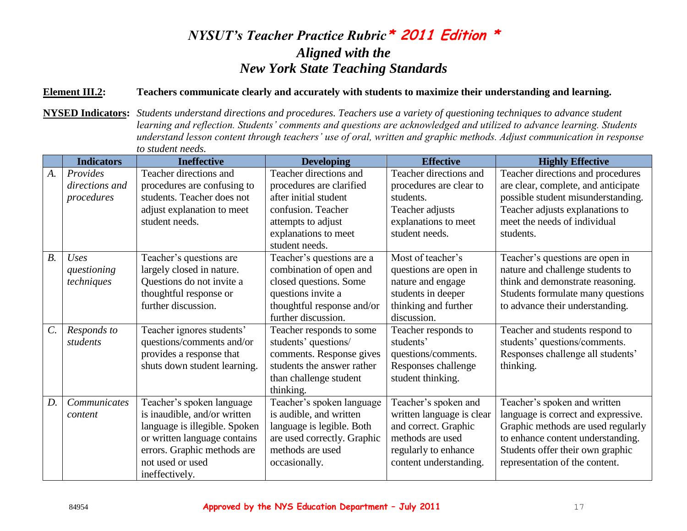#### **Element III.2: Teachers communicate clearly and accurately with students to maximize their understanding and learning.**

**NYSED Indicators:** *Students understand directions and procedures. Teachers use a variety of questioning techniques to advance student learning and reflection. Students' comments and questions are acknowledged and utilized to advance learning. Students understand lesson content through teachers' use of oral, written and graphic methods. Adjust communication in response to student needs.*

|       | <b>Indicators</b> | <b>Ineffective</b>            | <b>Developing</b>                      | <b>Effective</b>          | <b>Highly Effective</b>             |
|-------|-------------------|-------------------------------|----------------------------------------|---------------------------|-------------------------------------|
| A.    | Provides          | Teacher directions and        | Teacher directions and                 | Teacher directions and    | Teacher directions and procedures   |
|       | directions and    | procedures are confusing to   | procedures are clarified               | procedures are clear to   | are clear, complete, and anticipate |
|       | procedures        | students. Teacher does not    | after initial student                  | students.                 | possible student misunderstanding.  |
|       |                   | adjust explanation to meet    | confusion. Teacher                     | Teacher adjusts           | Teacher adjusts explanations to     |
|       |                   | student needs.                | attempts to adjust                     | explanations to meet      | meet the needs of individual        |
|       |                   |                               | explanations to meet                   | student needs.            | students.                           |
|       |                   |                               | student needs.                         |                           |                                     |
| $B$ . | <b>Uses</b>       | Teacher's questions are       | Teacher's questions are $\overline{a}$ | Most of teacher's         | Teacher's questions are open in     |
|       | questioning       | largely closed in nature.     | combination of open and                | questions are open in     | nature and challenge students to    |
|       | techniques        | Questions do not invite a     | closed questions. Some                 | nature and engage         | think and demonstrate reasoning.    |
|       |                   | thoughtful response or        | questions invite a                     | students in deeper        | Students formulate many questions   |
|       |                   | further discussion.           | thoughtful response and/or             | thinking and further      | to advance their understanding.     |
|       |                   |                               | further discussion.                    | discussion.               |                                     |
| $C$ . | Responds to       | Teacher ignores students'     | Teacher responds to some               | Teacher responds to       | Teacher and students respond to     |
|       | students          | questions/comments and/or     | students' questions/                   | students'                 | students' questions/comments.       |
|       |                   | provides a response that      | comments. Response gives               | questions/comments.       | Responses challenge all students'   |
|       |                   | shuts down student learning.  | students the answer rather             | Responses challenge       | thinking.                           |
|       |                   |                               | than challenge student                 | student thinking.         |                                     |
|       |                   |                               | thinking.                              |                           |                                     |
| $D$ . | Communicates      | Teacher's spoken language     | Teacher's spoken language              | Teacher's spoken and      | Teacher's spoken and written        |
|       | content           | is inaudible, and/or written  | is audible, and written                | written language is clear | language is correct and expressive. |
|       |                   | language is illegible. Spoken | language is legible. Both              | and correct. Graphic      | Graphic methods are used regularly  |
|       |                   | or written language contains  | are used correctly. Graphic            | methods are used          | to enhance content understanding.   |
|       |                   | errors. Graphic methods are   | methods are used                       | regularly to enhance      | Students offer their own graphic    |
|       |                   | not used or used              | occasionally.                          | content understanding.    | representation of the content.      |
|       |                   | ineffectively.                |                                        |                           |                                     |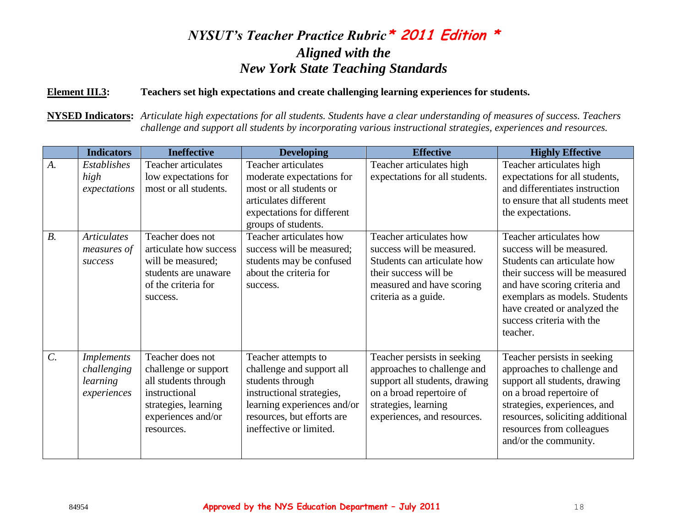#### **Element III.3: Teachers set high expectations and create challenging learning experiences for students.**

**NYSED Indicators:** *Articulate high expectations for all students. Students have a clear understanding of measures of success. Teachers challenge and support all students by incorporating various instructional strategies, experiences and resources.*

|                  | <b>Indicators</b>                                           | <b>Ineffective</b>                                                                                                                            | <b>Developing</b>                                                                                                                                                                         | <b>Effective</b>                                                                                                                                                               | <b>Highly Effective</b>                                                                                                                                                                                                                                          |
|------------------|-------------------------------------------------------------|-----------------------------------------------------------------------------------------------------------------------------------------------|-------------------------------------------------------------------------------------------------------------------------------------------------------------------------------------------|--------------------------------------------------------------------------------------------------------------------------------------------------------------------------------|------------------------------------------------------------------------------------------------------------------------------------------------------------------------------------------------------------------------------------------------------------------|
| $A$ .            | <b>Establishes</b><br>high<br>expectations                  | <b>Teacher articulates</b><br>low expectations for<br>most or all students.                                                                   | <b>Teacher articulates</b><br>moderate expectations for<br>most or all students or<br>articulates different<br>expectations for different<br>groups of students.                          | Teacher articulates high<br>expectations for all students.                                                                                                                     | Teacher articulates high<br>expectations for all students,<br>and differentiates instruction<br>to ensure that all students meet<br>the expectations.                                                                                                            |
| $B$ .            | <b>Articulates</b><br>measures of<br>success                | Teacher does not<br>articulate how success<br>will be measured;<br>students are unaware<br>of the criteria for<br>success.                    | Teacher articulates how<br>success will be measured;<br>students may be confused<br>about the criteria for<br>success.                                                                    | Teacher articulates how<br>success will be measured.<br>Students can articulate how<br>their success will be<br>measured and have scoring<br>criteria as a guide.              | Teacher articulates how<br>success will be measured.<br>Students can articulate how<br>their success will be measured<br>and have scoring criteria and<br>exemplars as models. Students<br>have created or analyzed the<br>success criteria with the<br>teacher. |
| $\overline{C}$ . | <b>Implements</b><br>challenging<br>learning<br>experiences | Teacher does not<br>challenge or support<br>all students through<br>instructional<br>strategies, learning<br>experiences and/or<br>resources. | Teacher attempts to<br>challenge and support all<br>students through<br>instructional strategies,<br>learning experiences and/or<br>resources, but efforts are<br>ineffective or limited. | Teacher persists in seeking<br>approaches to challenge and<br>support all students, drawing<br>on a broad repertoire of<br>strategies, learning<br>experiences, and resources. | Teacher persists in seeking<br>approaches to challenge and<br>support all students, drawing<br>on a broad repertoire of<br>strategies, experiences, and<br>resources, soliciting additional<br>resources from colleagues<br>and/or the community.                |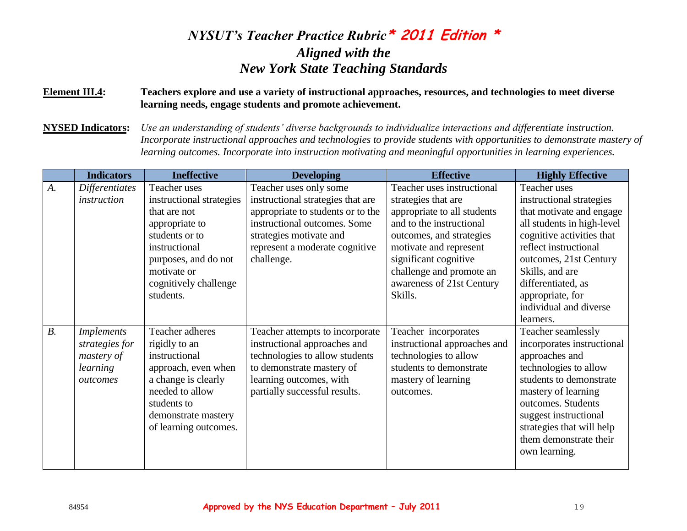#### **Element III.4: Teachers explore and use a variety of instructional approaches, resources, and technologies to meet diverse learning needs, engage students and promote achievement.**

**NYSED Indicators:** *Use an understanding of students' diverse backgrounds to individualize interactions and differentiate instruction. Incorporate instructional approaches and technologies to provide students with opportunities to demonstrate mastery of learning outcomes. Incorporate into instruction motivating and meaningful opportunities in learning experiences.*

|       | <b>Indicators</b>     | <b>Ineffective</b>       | <b>Developing</b>                 | <b>Effective</b>             | <b>Highly Effective</b>    |
|-------|-----------------------|--------------------------|-----------------------------------|------------------------------|----------------------------|
| A.    | <b>Differentiates</b> | Teacher uses             | Teacher uses only some            | Teacher uses instructional   | Teacher uses               |
|       | instruction           | instructional strategies | instructional strategies that are | strategies that are          | instructional strategies   |
|       |                       | that are not             | appropriate to students or to the | appropriate to all students  | that motivate and engage   |
|       |                       | appropriate to           | instructional outcomes. Some      | and to the instructional     | all students in high-level |
|       |                       | students or to           | strategies motivate and           | outcomes, and strategies     | cognitive activities that  |
|       |                       | instructional            | represent a moderate cognitive    | motivate and represent       | reflect instructional      |
|       |                       | purposes, and do not     | challenge.                        | significant cognitive        | outcomes, 21st Century     |
|       |                       | motivate or              |                                   | challenge and promote an     | Skills, and are            |
|       |                       | cognitively challenge    |                                   | awareness of 21st Century    | differentiated, as         |
|       |                       | students.                |                                   | Skills.                      | appropriate, for           |
|       |                       |                          |                                   |                              | individual and diverse     |
|       |                       |                          |                                   |                              | learners.                  |
| $B$ . | <i>Implements</i>     | Teacher adheres          | Teacher attempts to incorporate   | Teacher incorporates         | Teacher seamlessly         |
|       | strategies for        | rigidly to an            | instructional approaches and      | instructional approaches and | incorporates instructional |
|       | mastery of            | instructional            | technologies to allow students    | technologies to allow        | approaches and             |
|       | learning              | approach, even when      | to demonstrate mastery of         | students to demonstrate      | technologies to allow      |
|       | outcomes              | a change is clearly      | learning outcomes, with           | mastery of learning          | students to demonstrate    |
|       |                       | needed to allow          | partially successful results.     | outcomes.                    | mastery of learning        |
|       |                       | students to              |                                   |                              | outcomes. Students         |
|       |                       | demonstrate mastery      |                                   |                              | suggest instructional      |
|       |                       | of learning outcomes.    |                                   |                              | strategies that will help  |
|       |                       |                          |                                   |                              | them demonstrate their     |
|       |                       |                          |                                   |                              | own learning.              |
|       |                       |                          |                                   |                              |                            |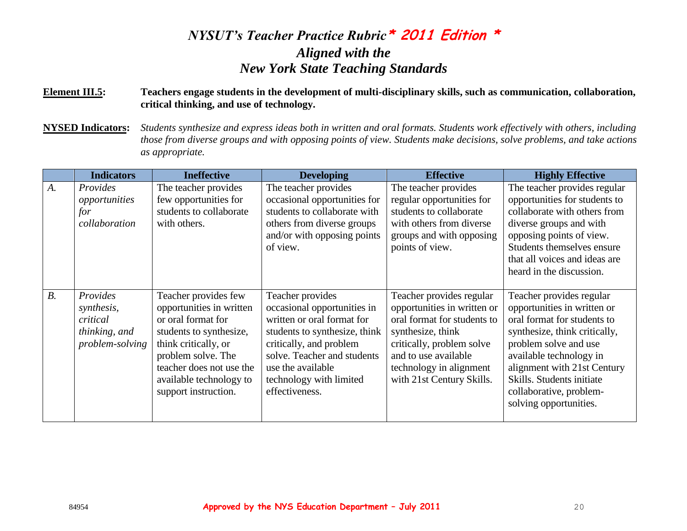#### **Element III.5: Teachers engage students in the development of multi-disciplinary skills, such as communication, collaboration, critical thinking, and use of technology.**

**NYSED Indicators:** *Students synthesize and express ideas both in written and oral formats. Students work effectively with others, including those from diverse groups and with opposing points of view. Students make decisions, solve problems, and take actions as appropriate.*

|       | <b>Indicators</b>                                                      | <b>Ineffective</b>                                                                                                                                                                                                             | <b>Developing</b>                                                                                                                                                                                                                          | <b>Effective</b>                                                                                                                                                                                                         | <b>Highly Effective</b>                                                                                                                                                                                                                                                                      |
|-------|------------------------------------------------------------------------|--------------------------------------------------------------------------------------------------------------------------------------------------------------------------------------------------------------------------------|--------------------------------------------------------------------------------------------------------------------------------------------------------------------------------------------------------------------------------------------|--------------------------------------------------------------------------------------------------------------------------------------------------------------------------------------------------------------------------|----------------------------------------------------------------------------------------------------------------------------------------------------------------------------------------------------------------------------------------------------------------------------------------------|
| $A$ . | Provides<br>opportunities<br>for<br>collaboration                      | The teacher provides<br>few opportunities for<br>students to collaborate<br>with others.                                                                                                                                       | The teacher provides<br>occasional opportunities for<br>students to collaborate with<br>others from diverse groups<br>and/or with opposing points<br>of view.                                                                              | The teacher provides<br>regular opportunities for<br>students to collaborate<br>with others from diverse<br>groups and with opposing<br>points of view.                                                                  | The teacher provides regular<br>opportunities for students to<br>collaborate with others from<br>diverse groups and with<br>opposing points of view.<br>Students themselves ensure<br>that all voices and ideas are<br>heard in the discussion.                                              |
| $B$ . | Provides<br>synthesis,<br>critical<br>thinking, and<br>problem-solving | Teacher provides few<br>opportunities in written<br>or oral format for<br>students to synthesize,<br>think critically, or<br>problem solve. The<br>teacher does not use the<br>available technology to<br>support instruction. | Teacher provides<br>occasional opportunities in<br>written or oral format for<br>students to synthesize, think<br>critically, and problem<br>solve. Teacher and students<br>use the available<br>technology with limited<br>effectiveness. | Teacher provides regular<br>opportunities in written or<br>oral format for students to<br>synthesize, think<br>critically, problem solve<br>and to use available<br>technology in alignment<br>with 21st Century Skills. | Teacher provides regular<br>opportunities in written or<br>oral format for students to<br>synthesize, think critically,<br>problem solve and use<br>available technology in<br>alignment with 21st Century<br>Skills. Students initiate<br>collaborative, problem-<br>solving opportunities. |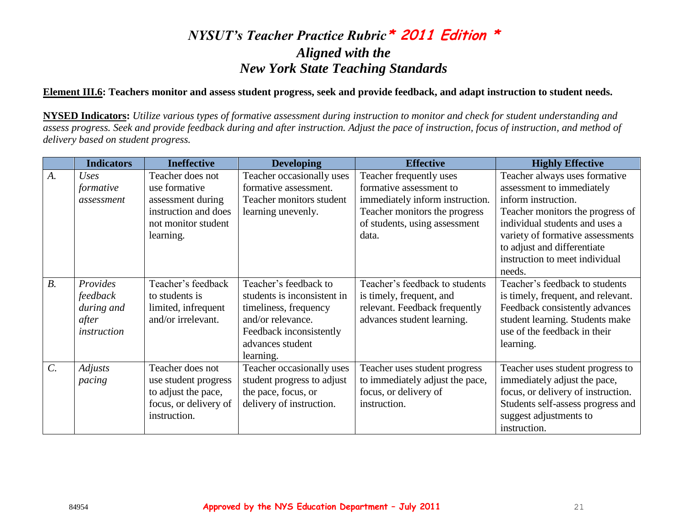#### **Element III.6: Teachers monitor and assess student progress, seek and provide feedback, and adapt instruction to student needs.**

**NYSED Indicators:** *Utilize various types of formative assessment during instruction to monitor and check for student understanding and assess progress. Seek and provide feedback during and after instruction. Adjust the pace of instruction, focus of instruction, and method of delivery based on student progress.*

|                 | <b>Indicators</b> | <b>Ineffective</b>    | <b>Developing</b>           | <b>Effective</b>                | <b>Highly Effective</b>            |
|-----------------|-------------------|-----------------------|-----------------------------|---------------------------------|------------------------------------|
| A.              | Uses              | Teacher does not      | Teacher occasionally uses   | Teacher frequently uses         | Teacher always uses formative      |
|                 | formative         | use formative         | formative assessment.       | formative assessment to         | assessment to immediately          |
|                 | assessment        | assessment during     | Teacher monitors student    | immediately inform instruction. | inform instruction.                |
|                 |                   | instruction and does  | learning unevenly.          | Teacher monitors the progress   | Teacher monitors the progress of   |
|                 |                   | not monitor student   |                             | of students, using assessment   | individual students and uses a     |
|                 |                   | learning.             |                             | data.                           | variety of formative assessments   |
|                 |                   |                       |                             |                                 | to adjust and differentiate        |
|                 |                   |                       |                             |                                 | instruction to meet individual     |
|                 |                   |                       |                             |                                 | needs.                             |
| $B$ .           | Provides          | Teacher's feedback    | Teacher's feedback to       | Teacher's feedback to students  | Teacher's feedback to students     |
|                 | feedback          | to students is        | students is inconsistent in | is timely, frequent, and        | is timely, frequent, and relevant. |
|                 | during and        | limited, infrequent   | timeliness, frequency       | relevant. Feedback frequently   | Feedback consistently advances     |
|                 | after             | and/or irrelevant.    | and/or relevance.           | advances student learning.      | student learning. Students make    |
|                 | instruction       |                       | Feedback inconsistently     |                                 | use of the feedback in their       |
|                 |                   |                       | advances student            |                                 | learning.                          |
|                 |                   |                       | learning.                   |                                 |                                    |
| $\mathcal{C}$ . | <b>Adjusts</b>    | Teacher does not      | Teacher occasionally uses   | Teacher uses student progress   | Teacher uses student progress to   |
|                 | pacing            | use student progress  | student progress to adjust  | to immediately adjust the pace, | immediately adjust the pace,       |
|                 |                   | to adjust the pace,   | the pace, focus, or         | focus, or delivery of           | focus, or delivery of instruction. |
|                 |                   | focus, or delivery of | delivery of instruction.    | instruction.                    | Students self-assess progress and  |
|                 |                   | instruction.          |                             |                                 | suggest adjustments to             |
|                 |                   |                       |                             |                                 | instruction.                       |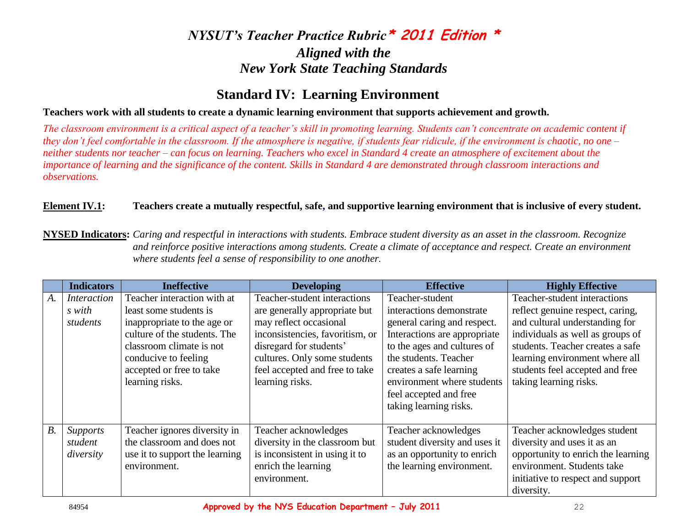### **Standard IV: Learning Environment**

#### **Teachers work with all students to create a dynamic learning environment that supports achievement and growth.**

*The classroom environment is a critical aspect of a teacher's skill in promoting learning. Students can't concentrate on academic content if they don't feel comfortable in the classroom. If the atmosphere is negative, if students fear ridicule, if the environment is chaotic, no one – neither students nor teacher – can focus on learning. Teachers who excel in Standard 4 create an atmosphere of excitement about the importance of learning and the significance of the content. Skills in Standard 4 are demonstrated through classroom interactions and observations.* 

#### Element IV.1: Teachers create a mutually respectful, safe, and supportive learning environment that is inclusive of every student.

**NYSED Indicators:** *Caring and respectful in interactions with students. Embrace student diversity as an asset in the classroom. Recognize and reinforce positive interactions among students. Create a climate of acceptance and respect. Create an environment where students feel a sense of responsibility to one another.*

|                | <b>Indicators</b>  | <b>Ineffective</b>             | <b>Developing</b>               | <b>Effective</b>              | <b>Highly Effective</b>            |
|----------------|--------------------|--------------------------------|---------------------------------|-------------------------------|------------------------------------|
| $A_{\cdot}$    | <i>Interaction</i> | Teacher interaction with at    | Teacher-student interactions    | Teacher-student               | Teacher-student interactions       |
|                | s with             | least some students is         | are generally appropriate but   | interactions demonstrate      | reflect genuine respect, caring,   |
|                | students           | inappropriate to the age or    | may reflect occasional          | general caring and respect.   | and cultural understanding for     |
|                |                    | culture of the students. The   | inconsistencies, favoritism, or | Interactions are appropriate  | individuals as well as groups of   |
|                |                    | classroom climate is not       | disregard for students'         | to the ages and cultures of   | students. Teacher creates a safe   |
|                |                    | conducive to feeling           | cultures. Only some students    | the students. Teacher         | learning environment where all     |
|                |                    | accepted or free to take       | feel accepted and free to take  | creates a safe learning       | students feel accepted and free    |
|                |                    | learning risks.                | learning risks.                 | environment where students    | taking learning risks.             |
|                |                    |                                |                                 | feel accepted and free        |                                    |
|                |                    |                                |                                 | taking learning risks.        |                                    |
|                |                    |                                |                                 |                               |                                    |
| B <sub>1</sub> | <b>Supports</b>    | Teacher ignores diversity in   | Teacher acknowledges            | Teacher acknowledges          | Teacher acknowledges student       |
|                | student            | the classroom and does not     | diversity in the classroom but  | student diversity and uses it | diversity and uses it as an        |
|                | diversity          | use it to support the learning | is inconsistent in using it to  | as an opportunity to enrich   | opportunity to enrich the learning |
|                |                    | environment.                   | enrich the learning             | the learning environment.     | environment. Students take         |
|                |                    |                                | environment.                    |                               | initiative to respect and support  |
|                |                    |                                |                                 |                               | diversity.                         |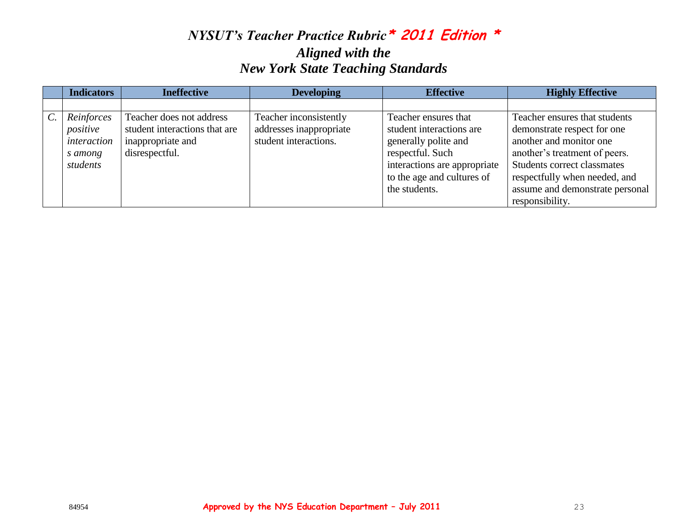|                 | <b>Indicators</b>                                            | <b>Ineffective</b>                                                                               | <b>Developing</b>                                                          | <b>Effective</b>                                                                                                             | <b>Highly Effective</b>                                                                                                                                 |
|-----------------|--------------------------------------------------------------|--------------------------------------------------------------------------------------------------|----------------------------------------------------------------------------|------------------------------------------------------------------------------------------------------------------------------|---------------------------------------------------------------------------------------------------------------------------------------------------------|
|                 |                                                              |                                                                                                  |                                                                            |                                                                                                                              |                                                                                                                                                         |
| $\mathcal{C}$ . | Reinforces<br>positive<br>interaction<br>s among<br>students | Teacher does not address<br>student interactions that are<br>inappropriate and<br>disrespectful. | Teacher inconsistently<br>addresses inappropriate<br>student interactions. | Teacher ensures that<br>student interactions are<br>generally polite and<br>respectful. Such<br>interactions are appropriate | Teacher ensures that students<br>demonstrate respect for one<br>another and monitor one<br>another's treatment of peers.<br>Students correct classmates |
|                 |                                                              |                                                                                                  |                                                                            | to the age and cultures of<br>the students.                                                                                  | respectfully when needed, and<br>assume and demonstrate personal<br>responsibility.                                                                     |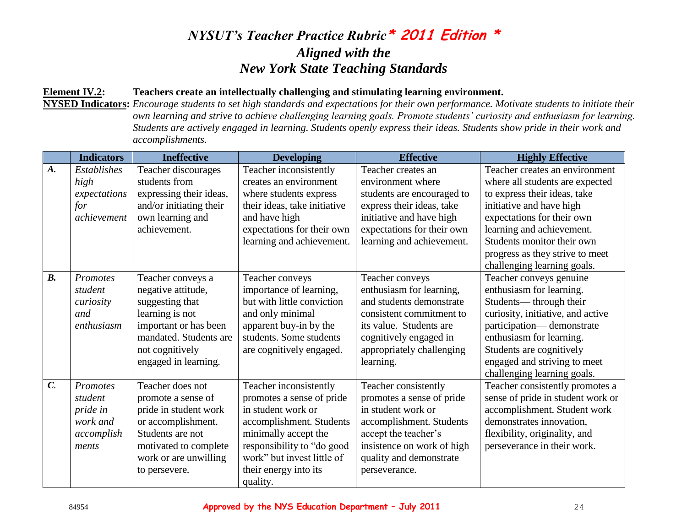#### **Element IV.2: Teachers create an intellectually challenging and stimulating learning environment.**

**NYSED Indicators:** *Encourage students to set high standards and expectations for their own performance. Motivate students to initiate their own learning and strive to achieve challenging learning goals. Promote students' curiosity and enthusiasm for learning. Students are actively engaged in learning. Students openly express their ideas. Students show pride in their work and accomplishments.*

|                  | <b>Indicators</b> | <b>Ineffective</b>      | <b>Developing</b>            | <b>Effective</b>           | <b>Highly Effective</b>           |
|------------------|-------------------|-------------------------|------------------------------|----------------------------|-----------------------------------|
| A.               | Establishes       | Teacher discourages     | Teacher inconsistently       | Teacher creates an         | Teacher creates an environment    |
|                  | high              | students from           | creates an environment       | environment where          | where all students are expected   |
|                  | expectations      | expressing their ideas, | where students express       | students are encouraged to | to express their ideas, take      |
|                  | for               | and/or initiating their | their ideas, take initiative | express their ideas, take  | initiative and have high          |
|                  | achievement       | own learning and        | and have high                | initiative and have high   | expectations for their own        |
|                  |                   | achievement.            | expectations for their own   | expectations for their own | learning and achievement.         |
|                  |                   |                         | learning and achievement.    | learning and achievement.  | Students monitor their own        |
|                  |                   |                         |                              |                            | progress as they strive to meet   |
|                  |                   |                         |                              |                            | challenging learning goals.       |
| $\mathbf{B}$ .   | <b>Promotes</b>   | Teacher conveys a       | Teacher conveys              | Teacher conveys            | Teacher conveys genuine           |
|                  | student           | negative attitude,      | importance of learning,      | enthusiasm for learning,   | enthusiasm for learning.          |
|                  | curiosity         | suggesting that         | but with little conviction   | and students demonstrate   | Students—through their            |
|                  | and               | learning is not         | and only minimal             | consistent commitment to   | curiosity, initiative, and active |
|                  | enthusiasm        | important or has been   | apparent buy-in by the       | its value. Students are    | participation—demonstrate         |
|                  |                   | mandated. Students are  | students. Some students      | cognitively engaged in     | enthusiasm for learning.          |
|                  |                   | not cognitively         | are cognitively engaged.     | appropriately challenging  | Students are cognitively          |
|                  |                   | engaged in learning.    |                              | learning.                  | engaged and striving to meet      |
|                  |                   |                         |                              |                            | challenging learning goals.       |
| $\overline{C}$ . | Promotes          | Teacher does not        | Teacher inconsistently       | Teacher consistently       | Teacher consistently promotes a   |
|                  | student           | promote a sense of      | promotes a sense of pride    | promotes a sense of pride  | sense of pride in student work or |
|                  | pride in          | pride in student work   | in student work or           | in student work or         | accomplishment. Student work      |
|                  | work and          | or accomplishment.      | accomplishment. Students     | accomplishment. Students   | demonstrates innovation,          |
|                  | accomplish        | Students are not        | minimally accept the         | accept the teacher's       | flexibility, originality, and     |
|                  | ments             | motivated to complete   | responsibility to "do good   | insistence on work of high | perseverance in their work.       |
|                  |                   | work or are unwilling   | work" but invest little of   | quality and demonstrate    |                                   |
|                  |                   | to persevere.           | their energy into its        | perseverance.              |                                   |
|                  |                   |                         | quality.                     |                            |                                   |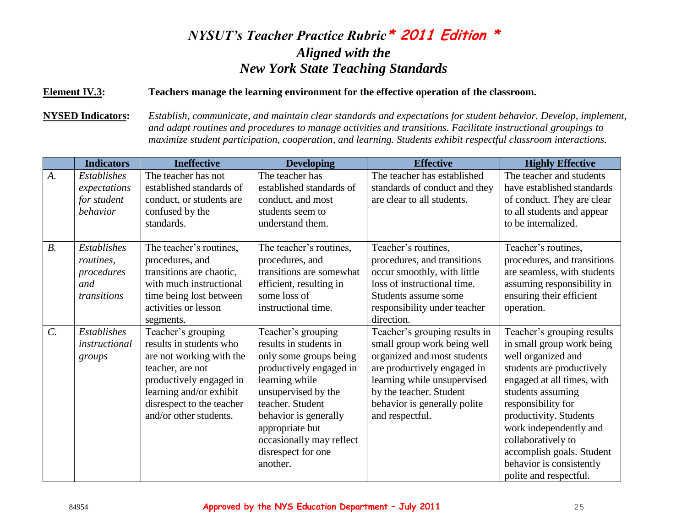#### **Element IV.3: Teachers manage the learning environment for the effective operation of the classroom.**

**NYSED Indicators:** *Establish, communicate, and maintain clear standards and expectations for student behavior. Develop, implement, and adapt routines and procedures to manage activities and transitions. Facilitate instructional groupings to maximize student participation, cooperation, and learning. Students exhibit respectful classroom interactions.*

|                 | <b>Indicators</b>                                                   | <b>Ineffective</b>                                                                                                                                                                                         | <b>Developing</b>                                                                                                                                                                                                                                                        | <b>Effective</b>                                                                                                                                                                                                                        | <b>Highly Effective</b>                                                                                                                                                                                                                                                                                                                          |
|-----------------|---------------------------------------------------------------------|------------------------------------------------------------------------------------------------------------------------------------------------------------------------------------------------------------|--------------------------------------------------------------------------------------------------------------------------------------------------------------------------------------------------------------------------------------------------------------------------|-----------------------------------------------------------------------------------------------------------------------------------------------------------------------------------------------------------------------------------------|--------------------------------------------------------------------------------------------------------------------------------------------------------------------------------------------------------------------------------------------------------------------------------------------------------------------------------------------------|
| $A$ .           | <b>Establishes</b><br>expectations<br>for student<br>behavior       | The teacher has not<br>established standards of<br>conduct, or students are<br>confused by the<br>standards.                                                                                               | The teacher has<br>established standards of<br>conduct, and most<br>students seem to<br>understand them.                                                                                                                                                                 | The teacher has established<br>standards of conduct and they<br>are clear to all students.                                                                                                                                              | The teacher and students<br>have established standards<br>of conduct. They are clear<br>to all students and appear<br>to be internalized.                                                                                                                                                                                                        |
| $B$ .           | <b>Establishes</b><br>routines,<br>procedures<br>and<br>transitions | The teacher's routines,<br>procedures, and<br>transitions are chaotic,<br>with much instructional<br>time being lost between<br>activities or lesson<br>segments.                                          | The teacher's routines,<br>procedures, and<br>transitions are somewhat<br>efficient, resulting in<br>some loss of<br>instructional time.                                                                                                                                 | Teacher's routines,<br>procedures, and transitions<br>occur smoothly, with little<br>loss of instructional time.<br>Students assume some<br>responsibility under teacher<br>direction.                                                  | Teacher's routines,<br>procedures, and transitions<br>are seamless, with students<br>assuming responsibility in<br>ensuring their efficient<br>operation.                                                                                                                                                                                        |
| $\mathcal{C}$ . | Establishes<br>instructional<br>groups                              | Teacher's grouping<br>results in students who<br>are not working with the<br>teacher, are not<br>productively engaged in<br>learning and/or exhibit<br>disrespect to the teacher<br>and/or other students. | Teacher's grouping<br>results in students in<br>only some groups being<br>productively engaged in<br>learning while<br>unsupervised by the<br>teacher. Student<br>behavior is generally<br>appropriate but<br>occasionally may reflect<br>disrespect for one<br>another. | Teacher's grouping results in<br>small group work being well<br>organized and most students<br>are productively engaged in<br>learning while unsupervised<br>by the teacher. Student<br>behavior is generally polite<br>and respectful. | Teacher's grouping results<br>in small group work being<br>well organized and<br>students are productively<br>engaged at all times, with<br>students assuming<br>responsibility for<br>productivity. Students<br>work independently and<br>collaboratively to<br>accomplish goals. Student<br>behavior is consistently<br>polite and respectful. |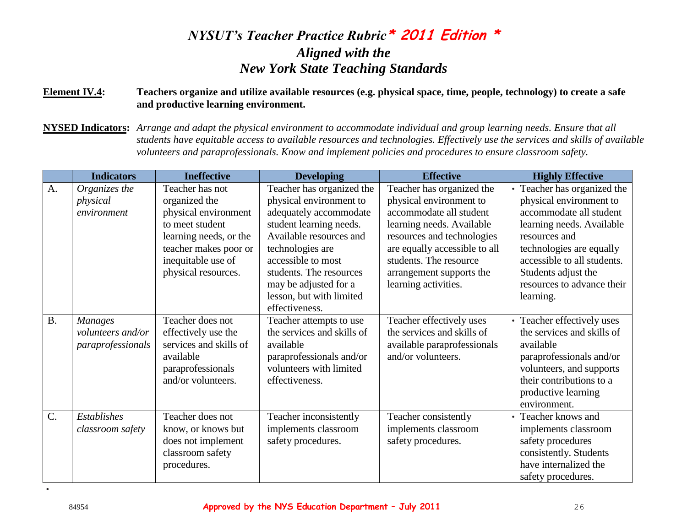#### **Element IV.4: Teachers organize and utilize available resources (e.g. physical space, time, people, technology) to create a safe and productive learning environment.**

**NYSED Indicators:** *Arrange and adapt the physical environment to accommodate individual and group learning needs. Ensure that all students have equitable access to available resources and technologies. Effectively use the services and skills of available volunteers and paraprofessionals. Know and implement policies and procedures to ensure classroom safety.*

|           | <b>Indicators</b>                                        | <b>Ineffective</b>                                                                                                                                                          | <b>Developing</b>                                                                                                                                                                                                                                                                | <b>Effective</b>                                                                                                                                                                                                                                          | <b>Highly Effective</b>                                                                                                                                                                                                                                      |
|-----------|----------------------------------------------------------|-----------------------------------------------------------------------------------------------------------------------------------------------------------------------------|----------------------------------------------------------------------------------------------------------------------------------------------------------------------------------------------------------------------------------------------------------------------------------|-----------------------------------------------------------------------------------------------------------------------------------------------------------------------------------------------------------------------------------------------------------|--------------------------------------------------------------------------------------------------------------------------------------------------------------------------------------------------------------------------------------------------------------|
| A.        | Organizes the<br>physical<br>environment                 | Teacher has not<br>organized the<br>physical environment<br>to meet student<br>learning needs, or the<br>teacher makes poor or<br>inequitable use of<br>physical resources. | Teacher has organized the<br>physical environment to<br>adequately accommodate<br>student learning needs.<br>Available resources and<br>technologies are<br>accessible to most<br>students. The resources<br>may be adjusted for a<br>lesson, but with limited<br>effectiveness. | Teacher has organized the<br>physical environment to<br>accommodate all student<br>learning needs. Available<br>resources and technologies<br>are equally accessible to all<br>students. The resource<br>arrangement supports the<br>learning activities. | • Teacher has organized the<br>physical environment to<br>accommodate all student<br>learning needs. Available<br>resources and<br>technologies are equally<br>accessible to all students.<br>Students adjust the<br>resources to advance their<br>learning. |
| <b>B.</b> | <b>Manages</b><br>volunteers and/or<br>paraprofessionals | Teacher does not<br>effectively use the<br>services and skills of<br>available<br>paraprofessionals<br>and/or volunteers.                                                   | Teacher attempts to use<br>the services and skills of<br>available<br>paraprofessionals and/or<br>volunteers with limited<br>effectiveness.                                                                                                                                      | Teacher effectively uses<br>the services and skills of<br>available paraprofessionals<br>and/or volunteers.                                                                                                                                               | Teacher effectively uses<br>$\bullet$<br>the services and skills of<br>available<br>paraprofessionals and/or<br>volunteers, and supports<br>their contributions to a<br>productive learning<br>environment.                                                  |
| $C$ .     | <b>Establishes</b><br>classroom safety                   | Teacher does not<br>know, or knows but<br>does not implement<br>classroom safety<br>procedures.                                                                             | Teacher inconsistently<br>implements classroom<br>safety procedures.                                                                                                                                                                                                             | Teacher consistently<br>implements classroom<br>safety procedures.                                                                                                                                                                                        | • Teacher knows and<br>implements classroom<br>safety procedures<br>consistently. Students<br>have internalized the<br>safety procedures.                                                                                                                    |

•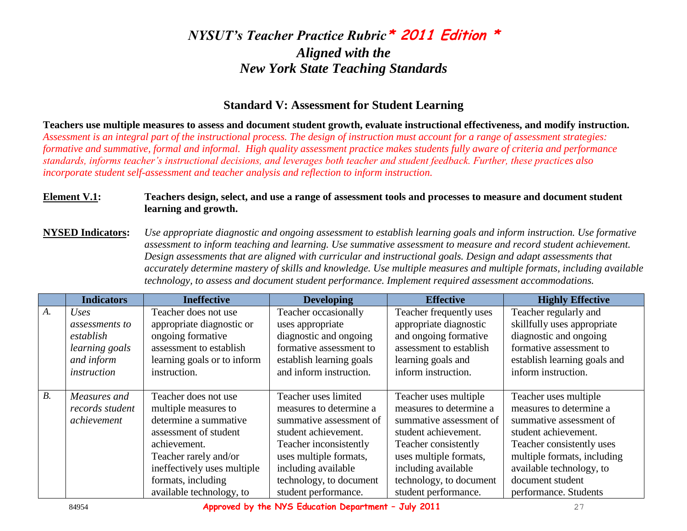#### **Standard V: Assessment for Student Learning**

**Teachers use multiple measures to assess and document student growth, evaluate instructional effectiveness, and modify instruction.** *Assessment is an integral part of the instructional process. The design of instruction must account for a range of assessment strategies: formative and summative, formal and informal. High quality assessment practice makes students fully aware of criteria and performance standards, informs teacher's instructional decisions, and leverages both teacher and student feedback. Further, these practices also incorporate student self-assessment and teacher analysis and reflection to inform instruction.* 

#### **Element V.1: Teachers design, select, and use a range of assessment tools and processes to measure and document student learning and growth.**

**NYSED Indicators:** *Use appropriate diagnostic and ongoing assessment to establish learning goals and inform instruction. Use formative assessment to inform teaching and learning. Use summative assessment to measure and record student achievement. Design assessments that are aligned with curricular and instructional goals. Design and adapt assessments that accurately determine mastery of skills and knowledge. Use multiple measures and multiple formats, including available technology, to assess and document student performance. Implement required assessment accommodations.*

|    | <b>Indicators</b> | <b>Ineffective</b>          | <b>Developing</b>        | <b>Effective</b>        | <b>Highly Effective</b>      |
|----|-------------------|-----------------------------|--------------------------|-------------------------|------------------------------|
| A. | Uses              | Teacher does not use        | Teacher occasionally     | Teacher frequently uses | Teacher regularly and        |
|    | assessments to    | appropriate diagnostic or   | uses appropriate         | appropriate diagnostic  | skillfully uses appropriate  |
|    | establish         | ongoing formative           | diagnostic and ongoing   | and ongoing formative   | diagnostic and ongoing       |
|    | learning goals    | assessment to establish     | formative assessment to  | assessment to establish | formative assessment to      |
|    | and inform        | learning goals or to inform | establish learning goals | learning goals and      | establish learning goals and |
|    | instruction       | instruction.                | and inform instruction.  | inform instruction.     | inform instruction.          |
|    |                   |                             |                          |                         |                              |
| B. | Measures and      | Teacher does not use        | Teacher uses limited     | Teacher uses multiple   | Teacher uses multiple        |
|    | records student   | multiple measures to        | measures to determine a  | measures to determine a | measures to determine a      |
|    | achievement       | determine a summative       | summative assessment of  | summative assessment of | summative assessment of      |
|    |                   | assessment of student       | student achievement.     | student achievement.    | student achievement.         |
|    |                   | achievement.                | Teacher inconsistently   | Teacher consistently    | Teacher consistently uses    |
|    |                   | Teacher rarely and/or       | uses multiple formats,   | uses multiple formats,  | multiple formats, including  |
|    |                   | ineffectively uses multiple | including available      | including available     | available technology, to     |
|    |                   | formats, including          | technology, to document  | technology, to document | document student             |
|    |                   | available technology, to    | student performance.     | student performance.    | performance. Students        |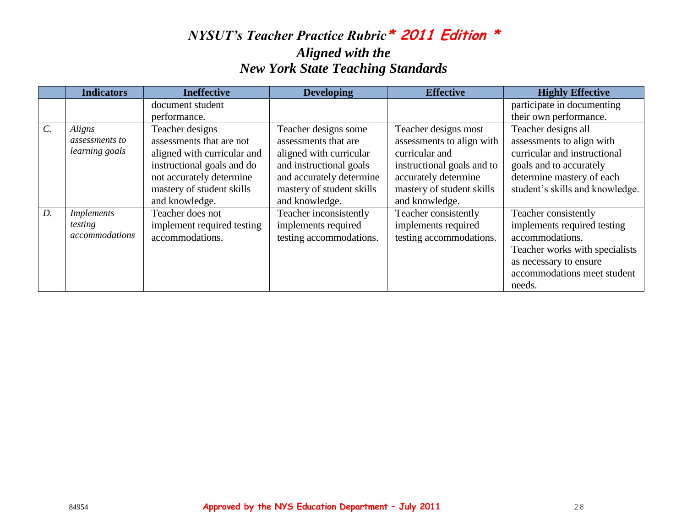|                 | <b>Indicators</b>                              | <b>Ineffective</b>                                                                                                                                                                  | <b>Developing</b>                                                                                                                                                             | <b>Effective</b>                                                                                                                                                         | <b>Highly Effective</b>                                                                                                                                                     |
|-----------------|------------------------------------------------|-------------------------------------------------------------------------------------------------------------------------------------------------------------------------------------|-------------------------------------------------------------------------------------------------------------------------------------------------------------------------------|--------------------------------------------------------------------------------------------------------------------------------------------------------------------------|-----------------------------------------------------------------------------------------------------------------------------------------------------------------------------|
|                 |                                                | document student                                                                                                                                                                    |                                                                                                                                                                               |                                                                                                                                                                          | participate in documenting                                                                                                                                                  |
|                 |                                                | performance.                                                                                                                                                                        |                                                                                                                                                                               |                                                                                                                                                                          | their own performance.                                                                                                                                                      |
| $\mathcal{C}$ . | Aligns<br>assessments to<br>learning goals     | Teacher designs<br>assessments that are not<br>aligned with curricular and<br>instructional goals and do<br>not accurately determine<br>mastery of student skills<br>and knowledge. | Teacher designs some<br>assessments that are<br>aligned with curricular<br>and instructional goals<br>and accurately determine<br>mastery of student skills<br>and knowledge. | Teacher designs most<br>assessments to align with<br>curricular and<br>instructional goals and to<br>accurately determine<br>mastery of student skills<br>and knowledge. | Teacher designs all<br>assessments to align with<br>curricular and instructional<br>goals and to accurately<br>determine mastery of each<br>student's skills and knowledge. |
| D.              | <i>Implements</i><br>testing<br>accommodations | Teacher does not<br>implement required testing<br>accommodations.                                                                                                                   | Teacher inconsistently<br>implements required<br>testing accommodations.                                                                                                      | Teacher consistently<br>implements required<br>testing accommodations.                                                                                                   | Teacher consistently<br>implements required testing<br>accommodations.<br>Teacher works with specialists<br>as necessary to ensure<br>accommodations meet student<br>needs. |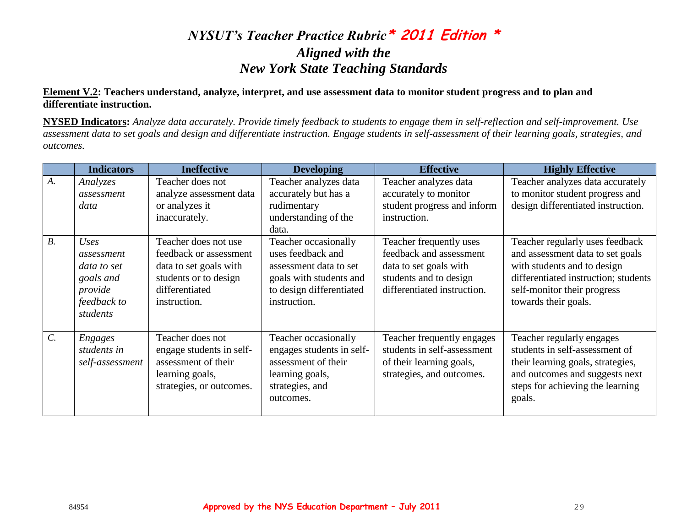#### **Element V.2: Teachers understand, analyze, interpret, and use assessment data to monitor student progress and to plan and differentiate instruction.**

**NYSED Indicators:** *Analyze data accurately. Provide timely feedback to students to engage them in self-reflection and self-improvement. Use assessment data to set goals and design and differentiate instruction. Engage students in self-assessment of their learning goals, strategies, and outcomes.*

|       | <b>Indicators</b>                                                                    | <b>Ineffective</b>                                                                                                                  | <b>Developing</b>                                                                                                                          | <b>Effective</b>                                                                                                                      | <b>Highly Effective</b>                                                                                                                                                                           |
|-------|--------------------------------------------------------------------------------------|-------------------------------------------------------------------------------------------------------------------------------------|--------------------------------------------------------------------------------------------------------------------------------------------|---------------------------------------------------------------------------------------------------------------------------------------|---------------------------------------------------------------------------------------------------------------------------------------------------------------------------------------------------|
| A.    | Analyzes<br>assessment<br>data                                                       | Teacher does not<br>analyze assessment data<br>or analyzes it<br>inaccurately.                                                      | Teacher analyzes data<br>accurately but has a<br>rudimentary<br>understanding of the<br>data.                                              | Teacher analyzes data<br>accurately to monitor<br>student progress and inform<br>instruction.                                         | Teacher analyzes data accurately<br>to monitor student progress and<br>design differentiated instruction.                                                                                         |
| $B$ . | Uses<br>assessment<br>data to set<br>goals and<br>provide<br>feedback to<br>students | Teacher does not use<br>feedback or assessment<br>data to set goals with<br>students or to design<br>differentiated<br>instruction. | Teacher occasionally<br>uses feedback and<br>assessment data to set<br>goals with students and<br>to design differentiated<br>instruction. | Teacher frequently uses<br>feedback and assessment<br>data to set goals with<br>students and to design<br>differentiated instruction. | Teacher regularly uses feedback<br>and assessment data to set goals<br>with students and to design<br>differentiated instruction; students<br>self-monitor their progress<br>towards their goals. |
| $C$ . | <b>Engages</b><br>students in<br>self-assessment                                     | Teacher does not<br>engage students in self-<br>assessment of their<br>learning goals,<br>strategies, or outcomes.                  | Teacher occasionally<br>engages students in self-<br>assessment of their<br>learning goals,<br>strategies, and<br>outcomes.                | Teacher frequently engages<br>students in self-assessment<br>of their learning goals,<br>strategies, and outcomes.                    | Teacher regularly engages<br>students in self-assessment of<br>their learning goals, strategies,<br>and outcomes and suggests next<br>steps for achieving the learning<br>goals.                  |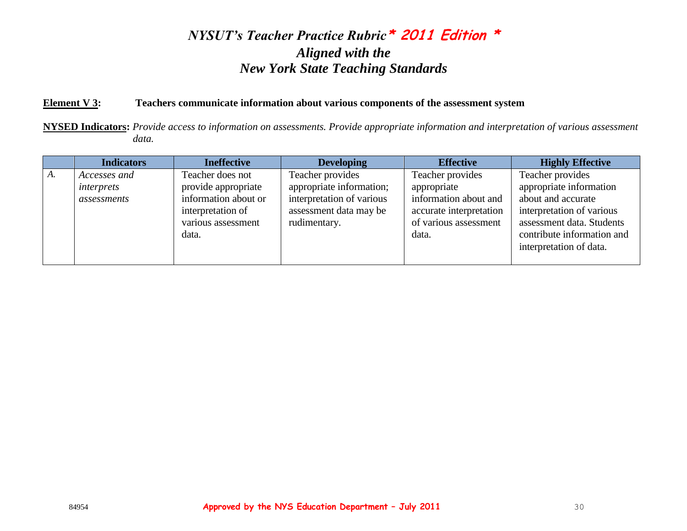#### **Element V 3: Teachers communicate information about various components of the assessment system**

**NYSED Indicators:** *Provide access to information on assessments. Provide appropriate information and interpretation of various assessment data.*

|    | <b>Indicators</b>                         | <b>Ineffective</b>                                                                                                  | <b>Developing</b>                                                                                                   | <b>Effective</b>                                                                                                      | <b>Highly Effective</b>                                                                                                                                                              |
|----|-------------------------------------------|---------------------------------------------------------------------------------------------------------------------|---------------------------------------------------------------------------------------------------------------------|-----------------------------------------------------------------------------------------------------------------------|--------------------------------------------------------------------------------------------------------------------------------------------------------------------------------------|
| A. | Accesses and<br>interprets<br>assessments | Teacher does not<br>provide appropriate<br>information about or<br>interpretation of<br>various assessment<br>data. | Teacher provides<br>appropriate information;<br>interpretation of various<br>assessment data may be<br>rudimentary. | Teacher provides<br>appropriate<br>information about and<br>accurate interpretation<br>of various assessment<br>data. | Teacher provides<br>appropriate information<br>about and accurate<br>interpretation of various<br>assessment data. Students<br>contribute information and<br>interpretation of data. |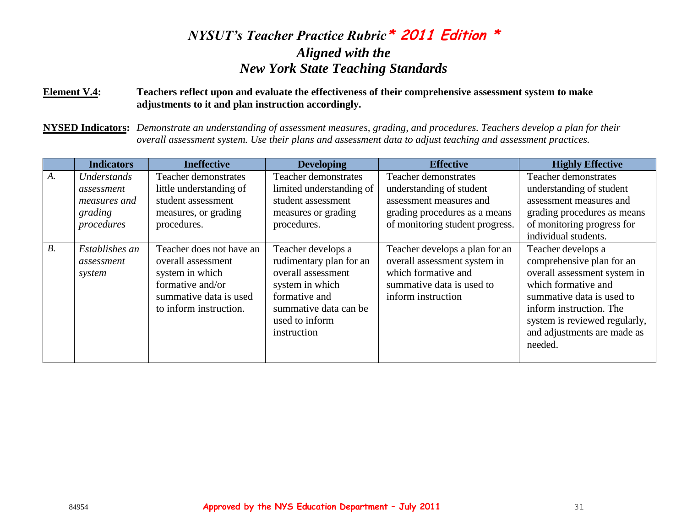#### **Element V.4: Teachers reflect upon and evaluate the effectiveness of their comprehensive assessment system to make adjustments to it and plan instruction accordingly.**

**NYSED Indicators:** *Demonstrate an understanding of assessment measures, grading, and procedures. Teachers develop a plan for their overall assessment system. Use their plans and assessment data to adjust teaching and assessment practices.*

|       | <b>Indicators</b>                                                  | <b>Ineffective</b>                                                                                                                        | <b>Developing</b>                                                                                                                                                 | <b>Effective</b>                                                                                                                                | <b>Highly Effective</b>                                                                                                                                                                                                                   |
|-------|--------------------------------------------------------------------|-------------------------------------------------------------------------------------------------------------------------------------------|-------------------------------------------------------------------------------------------------------------------------------------------------------------------|-------------------------------------------------------------------------------------------------------------------------------------------------|-------------------------------------------------------------------------------------------------------------------------------------------------------------------------------------------------------------------------------------------|
| $A$ . | Understands<br>assessment<br>measures and<br>grading<br>procedures | Teacher demonstrates<br>little understanding of<br>student assessment<br>measures, or grading<br>procedures.                              | Teacher demonstrates<br>limited understanding of<br>student assessment<br>measures or grading<br>procedures.                                                      | Teacher demonstrates<br>understanding of student<br>assessment measures and<br>grading procedures as a means<br>of monitoring student progress. | Teacher demonstrates<br>understanding of student<br>assessment measures and<br>grading procedures as means<br>of monitoring progress for<br>individual students.                                                                          |
| $B$ . | Establishes an<br>assessment<br>system                             | Teacher does not have an<br>overall assessment<br>system in which<br>formative and/or<br>summative data is used<br>to inform instruction. | Teacher develops a<br>rudimentary plan for an<br>overall assessment<br>system in which<br>formative and<br>summative data can be<br>used to inform<br>instruction | Teacher develops a plan for an<br>overall assessment system in<br>which formative and<br>summative data is used to<br>inform instruction        | Teacher develops a<br>comprehensive plan for an<br>overall assessment system in<br>which formative and<br>summative data is used to<br>inform instruction. The<br>system is reviewed regularly,<br>and adjustments are made as<br>needed. |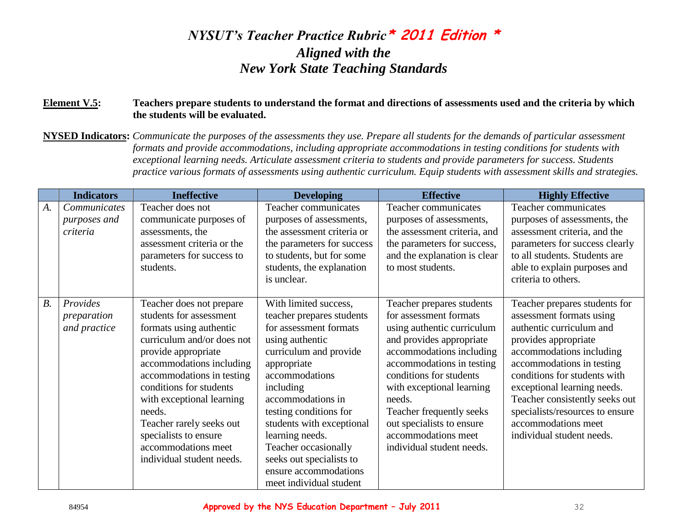#### **Element V.5: Teachers prepare students to understand the format and directions of assessments used and the criteria by which the students will be evaluated.**

**NYSED Indicators:** *Communicate the purposes of the assessments they use. Prepare all students for the demands of particular assessment formats and provide accommodations, including appropriate accommodations in testing conditions for students with exceptional learning needs. Articulate assessment criteria to students and provide parameters for success. Students practice various formats of assessments using authentic curriculum. Equip students with assessment skills and strategies.* 

|       | <b>Indicators</b>                        | <b>Ineffective</b>                                                                                                                                                                                                                                                                                                                                                      | <b>Developing</b>                                                                                                                                                                                                                                                                                                                                                              | <b>Effective</b>                                                                                                                                                                                                                                                                                                                                      | <b>Highly Effective</b>                                                                                                                                                                                                                                                                                                                                        |
|-------|------------------------------------------|-------------------------------------------------------------------------------------------------------------------------------------------------------------------------------------------------------------------------------------------------------------------------------------------------------------------------------------------------------------------------|--------------------------------------------------------------------------------------------------------------------------------------------------------------------------------------------------------------------------------------------------------------------------------------------------------------------------------------------------------------------------------|-------------------------------------------------------------------------------------------------------------------------------------------------------------------------------------------------------------------------------------------------------------------------------------------------------------------------------------------------------|----------------------------------------------------------------------------------------------------------------------------------------------------------------------------------------------------------------------------------------------------------------------------------------------------------------------------------------------------------------|
| $A$ . | Communicates<br>purposes and<br>criteria | Teacher does not<br>communicate purposes of<br>assessments, the<br>assessment criteria or the<br>parameters for success to<br>students.                                                                                                                                                                                                                                 | Teacher communicates<br>purposes of assessments,<br>the assessment criteria or<br>the parameters for success<br>to students, but for some<br>students, the explanation<br>is unclear.                                                                                                                                                                                          | Teacher communicates<br>purposes of assessments,<br>the assessment criteria, and<br>the parameters for success,<br>and the explanation is clear<br>to most students.                                                                                                                                                                                  | Teacher communicates<br>purposes of assessments, the<br>assessment criteria, and the<br>parameters for success clearly<br>to all students. Students are<br>able to explain purposes and<br>criteria to others.                                                                                                                                                 |
| $B$ . | Provides<br>preparation<br>and practice  | Teacher does not prepare<br>students for assessment<br>formats using authentic<br>curriculum and/or does not<br>provide appropriate<br>accommodations including<br>accommodations in testing<br>conditions for students<br>with exceptional learning<br>needs.<br>Teacher rarely seeks out<br>specialists to ensure<br>accommodations meet<br>individual student needs. | With limited success,<br>teacher prepares students<br>for assessment formats<br>using authentic<br>curriculum and provide<br>appropriate<br>accommodations<br>including<br>accommodations in<br>testing conditions for<br>students with exceptional<br>learning needs.<br>Teacher occasionally<br>seeks out specialists to<br>ensure accommodations<br>meet individual student | Teacher prepares students<br>for assessment formats<br>using authentic curriculum<br>and provides appropriate<br>accommodations including<br>accommodations in testing<br>conditions for students<br>with exceptional learning<br>needs.<br>Teacher frequently seeks<br>out specialists to ensure<br>accommodations meet<br>individual student needs. | Teacher prepares students for<br>assessment formats using<br>authentic curriculum and<br>provides appropriate<br>accommodations including<br>accommodations in testing<br>conditions for students with<br>exceptional learning needs.<br>Teacher consistently seeks out<br>specialists/resources to ensure<br>accommodations meet<br>individual student needs. |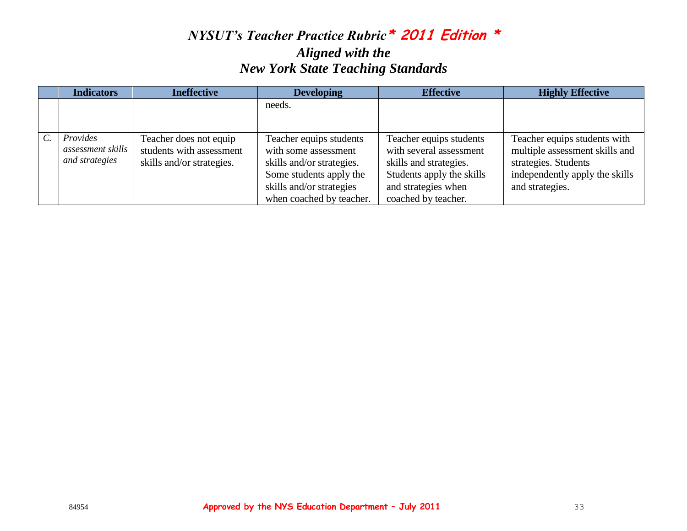|                 | <b>Indicators</b>                               | <b>Ineffective</b>                                                              | <b>Developing</b>                                                                                                                                               | <b>Effective</b>                                                                                                                                        | <b>Highly Effective</b>                                                                                                                     |
|-----------------|-------------------------------------------------|---------------------------------------------------------------------------------|-----------------------------------------------------------------------------------------------------------------------------------------------------------------|---------------------------------------------------------------------------------------------------------------------------------------------------------|---------------------------------------------------------------------------------------------------------------------------------------------|
|                 |                                                 |                                                                                 | needs.                                                                                                                                                          |                                                                                                                                                         |                                                                                                                                             |
| $\mathcal{C}$ . | Provides<br>assessment skills<br>and strategies | Teacher does not equip<br>students with assessment<br>skills and/or strategies. | Teacher equips students<br>with some assessment<br>skills and/or strategies.<br>Some students apply the<br>skills and/or strategies<br>when coached by teacher. | Teacher equips students<br>with several assessment<br>skills and strategies.<br>Students apply the skills<br>and strategies when<br>coached by teacher. | Teacher equips students with<br>multiple assessment skills and<br>strategies. Students<br>independently apply the skills<br>and strategies. |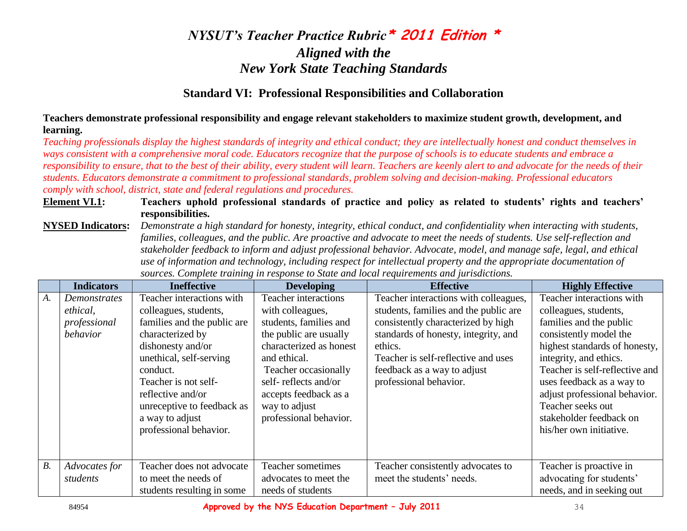### **Standard VI: Professional Responsibilities and Collaboration**

**Teachers demonstrate professional responsibility and engage relevant stakeholders to maximize student growth, development, and learning.** 

*Teaching professionals display the highest standards of integrity and ethical conduct; they are intellectually honest and conduct themselves in ways consistent with a comprehensive moral code. Educators recognize that the purpose of schools is to educate students and embrace a responsibility to ensure, that to the best of their ability, every student will learn. Teachers are keenly alert to and advocate for the needs of their students. Educators demonstrate a commitment to professional standards, problem solving and decision-making. Professional educators comply with school, district, state and federal regulations and procedures.* 

#### **Element VI.1: Teachers uphold professional standards of practice and policy as related to students' rights and teachers' responsibilities.**

**NYSED Indicators:** *Demonstrate a high standard for honesty, integrity, ethical conduct, and confidentiality when interacting with students, families, colleagues, and the public. Are proactive and advocate to meet the needs of students. Use self-reflection and stakeholder feedback to inform and adjust professional behavior. Advocate, model, and manage safe, legal, and ethical use of information and technology, including respect for intellectual property and the appropriate documentation of sources. Complete training in response to State and local requirements and jurisdictions.*

|       | <b>Indicators</b>                                    | <b>Ineffective</b>                                                                                                                                                                                                                                                                        | <b>Developing</b>                                                                                                                                                                                                                                                  | <b>Effective</b>                                                                                                                                                                                                                                                        | <b>Highly Effective</b>                                                                                                                                                                                                                                                                                                                       |
|-------|------------------------------------------------------|-------------------------------------------------------------------------------------------------------------------------------------------------------------------------------------------------------------------------------------------------------------------------------------------|--------------------------------------------------------------------------------------------------------------------------------------------------------------------------------------------------------------------------------------------------------------------|-------------------------------------------------------------------------------------------------------------------------------------------------------------------------------------------------------------------------------------------------------------------------|-----------------------------------------------------------------------------------------------------------------------------------------------------------------------------------------------------------------------------------------------------------------------------------------------------------------------------------------------|
| $A$ . | Demonstrates<br>ethical,<br>professional<br>behavior | Teacher interactions with<br>colleagues, students,<br>families and the public are<br>characterized by<br>dishonesty and/or<br>unethical, self-serving<br>conduct.<br>Teacher is not self-<br>reflective and/or<br>unreceptive to feedback as<br>a way to adjust<br>professional behavior. | <b>Teacher interactions</b><br>with colleagues,<br>students, families and<br>the public are usually<br>characterized as honest<br>and ethical.<br>Teacher occasionally<br>self-reflects and/or<br>accepts feedback as a<br>way to adjust<br>professional behavior. | Teacher interactions with colleagues,<br>students, families and the public are<br>consistently characterized by high<br>standards of honesty, integrity, and<br>ethics.<br>Teacher is self-reflective and uses<br>feedback as a way to adjust<br>professional behavior. | Teacher interactions with<br>colleagues, students,<br>families and the public<br>consistently model the<br>highest standards of honesty,<br>integrity, and ethics.<br>Teacher is self-reflective and<br>uses feedback as a way to<br>adjust professional behavior.<br>Teacher seeks out<br>stakeholder feedback on<br>his/her own initiative. |
| B.    | Advocates for<br>students                            | Teacher does not advocate<br>to meet the needs of<br>students resulting in some                                                                                                                                                                                                           | Teacher sometimes<br>advocates to meet the<br>needs of students                                                                                                                                                                                                    | Teacher consistently advocates to<br>meet the students' needs.                                                                                                                                                                                                          | Teacher is proactive in<br>advocating for students'<br>needs, and in seeking out                                                                                                                                                                                                                                                              |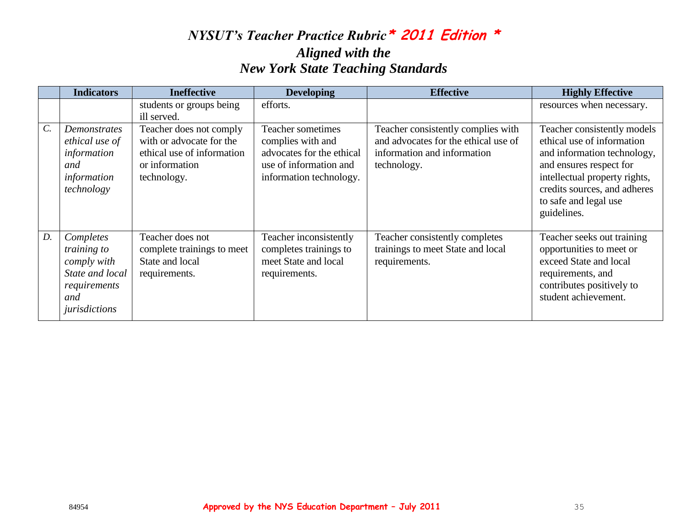|                 | <b>Indicators</b>                                                                                  | <b>Ineffective</b>                                                                                                 | <b>Developing</b>                                                                                                        | <b>Effective</b>                                                                                                         | <b>Highly Effective</b>                                                                                                                                                                                                      |
|-----------------|----------------------------------------------------------------------------------------------------|--------------------------------------------------------------------------------------------------------------------|--------------------------------------------------------------------------------------------------------------------------|--------------------------------------------------------------------------------------------------------------------------|------------------------------------------------------------------------------------------------------------------------------------------------------------------------------------------------------------------------------|
|                 |                                                                                                    | students or groups being<br>ill served.                                                                            | efforts.                                                                                                                 |                                                                                                                          | resources when necessary.                                                                                                                                                                                                    |
| $\mathcal{C}$ . | Demonstrates<br>ethical use of<br>information<br>and<br>information<br>technology                  | Teacher does not comply<br>with or advocate for the<br>ethical use of information<br>or information<br>technology. | Teacher sometimes<br>complies with and<br>advocates for the ethical<br>use of information and<br>information technology. | Teacher consistently complies with<br>and advocates for the ethical use of<br>information and information<br>technology. | Teacher consistently models<br>ethical use of information<br>and information technology,<br>and ensures respect for<br>intellectual property rights,<br>credits sources, and adheres<br>to safe and legal use<br>guidelines. |
| $D$ .           | Completes<br>training to<br>comply with<br>State and local<br>requirements<br>and<br>jurisdictions | Teacher does not<br>complete trainings to meet<br>State and local<br>requirements.                                 | Teacher inconsistently<br>completes trainings to<br>meet State and local<br>requirements.                                | Teacher consistently completes<br>trainings to meet State and local<br>requirements.                                     | Teacher seeks out training<br>opportunities to meet or<br>exceed State and local<br>requirements, and<br>contributes positively to<br>student achievement.                                                                   |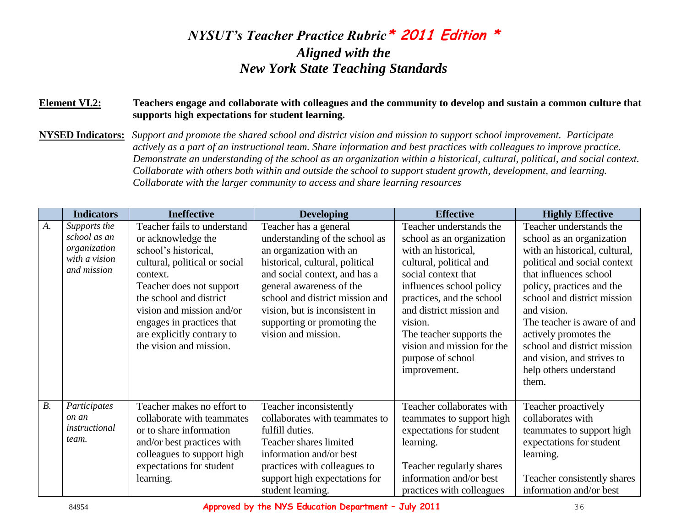#### **Element VI.2: Teachers engage and collaborate with colleagues and the community to develop and sustain a common culture that supports high expectations for student learning.**

**NYSED Indicators:** *Support and promote the shared school and district vision and mission to support school improvement. Participate actively as a part of an instructional team. Share information and best practices with colleagues to improve practice. Demonstrate an understanding of the school as an organization within a historical, cultural, political, and social context. Collaborate with others both within and outside the school to support student growth, development, and learning. Collaborate with the larger community to access and share learning resources*

|    | <b>Indicators</b>                                                            | <b>Ineffective</b>                                                                                                                                                                                                                                                                               | <b>Developing</b>                                                                                                                                                                                                                                                                                             | <b>Effective</b>                                                                                                                                                                                                                                                                                                             | <b>Highly Effective</b>                                                                                                                                                                                                                                                                                                                                                            |
|----|------------------------------------------------------------------------------|--------------------------------------------------------------------------------------------------------------------------------------------------------------------------------------------------------------------------------------------------------------------------------------------------|---------------------------------------------------------------------------------------------------------------------------------------------------------------------------------------------------------------------------------------------------------------------------------------------------------------|------------------------------------------------------------------------------------------------------------------------------------------------------------------------------------------------------------------------------------------------------------------------------------------------------------------------------|------------------------------------------------------------------------------------------------------------------------------------------------------------------------------------------------------------------------------------------------------------------------------------------------------------------------------------------------------------------------------------|
| A. | Supports the<br>school as an<br>organization<br>with a vision<br>and mission | Teacher fails to understand<br>or acknowledge the<br>school's historical,<br>cultural, political or social<br>context.<br>Teacher does not support<br>the school and district<br>vision and mission and/or<br>engages in practices that<br>are explicitly contrary to<br>the vision and mission. | Teacher has a general<br>understanding of the school as<br>an organization with an<br>historical, cultural, political<br>and social context, and has a<br>general awareness of the<br>school and district mission and<br>vision, but is inconsistent in<br>supporting or promoting the<br>vision and mission. | Teacher understands the<br>school as an organization<br>with an historical,<br>cultural, political and<br>social context that<br>influences school policy<br>practices, and the school<br>and district mission and<br>vision.<br>The teacher supports the<br>vision and mission for the<br>purpose of school<br>improvement. | Teacher understands the<br>school as an organization<br>with an historical, cultural,<br>political and social context<br>that influences school<br>policy, practices and the<br>school and district mission<br>and vision.<br>The teacher is aware of and<br>actively promotes the<br>school and district mission<br>and vision, and strives to<br>help others understand<br>them. |
| B. | Participates<br>on an<br>instructional<br>team.                              | Teacher makes no effort to<br>collaborate with teammates<br>or to share information<br>and/or best practices with<br>colleagues to support high<br>expectations for student<br>learning.                                                                                                         | Teacher inconsistently<br>collaborates with teammates to<br>fulfill duties.<br>Teacher shares limited<br>information and/or best<br>practices with colleagues to<br>support high expectations for<br>student learning.                                                                                        | Teacher collaborates with<br>teammates to support high<br>expectations for student<br>learning.<br>Teacher regularly shares<br>information and/or best<br>practices with colleagues                                                                                                                                          | Teacher proactively<br>collaborates with<br>teammates to support high<br>expectations for student<br>learning.<br>Teacher consistently shares<br>information and/or best                                                                                                                                                                                                           |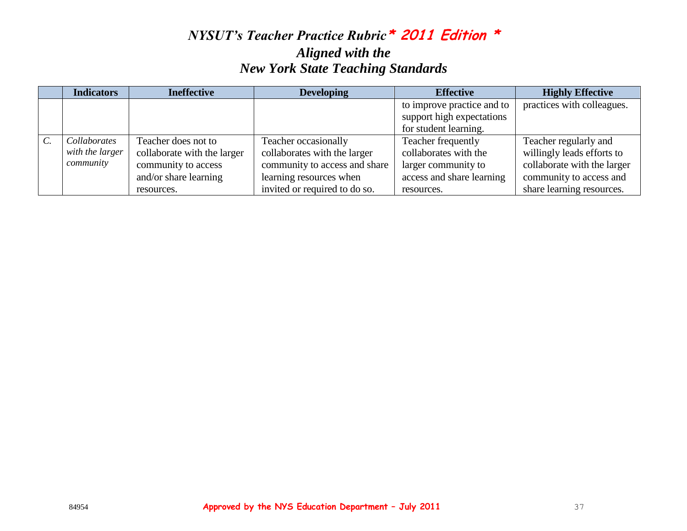|                 | <b>Indicators</b>                            | <b>Ineffective</b>                                                                                               | <b>Developing</b>                                                                                                                                 | <b>Effective</b>                                                                                              | <b>Highly Effective</b>                                                                                                                    |
|-----------------|----------------------------------------------|------------------------------------------------------------------------------------------------------------------|---------------------------------------------------------------------------------------------------------------------------------------------------|---------------------------------------------------------------------------------------------------------------|--------------------------------------------------------------------------------------------------------------------------------------------|
|                 |                                              |                                                                                                                  |                                                                                                                                                   | to improve practice and to<br>support high expectations<br>for student learning.                              | practices with colleagues.                                                                                                                 |
| $\mathcal{C}$ . | Collaborates<br>with the larger<br>community | Teacher does not to<br>collaborate with the larger<br>community to access<br>and/or share learning<br>resources. | Teacher occasionally<br>collaborates with the larger<br>community to access and share<br>learning resources when<br>invited or required to do so. | Teacher frequently<br>collaborates with the<br>larger community to<br>access and share learning<br>resources. | Teacher regularly and<br>willingly leads efforts to<br>collaborate with the larger<br>community to access and<br>share learning resources. |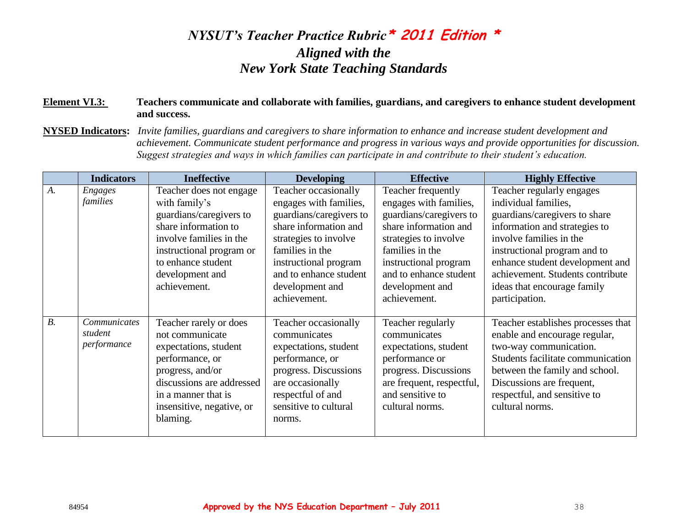#### **Element VI.3: Teachers communicate and collaborate with families, guardians, and caregivers to enhance student development and success.**

**NYSED Indicators:** *Invite families, guardians and caregivers to share information to enhance and increase student development and achievement. Communicate student performance and progress in various ways and provide opportunities for discussion. Suggest strategies and ways in which families can participate in and contribute to their student's education.*

|       | <b>Indicators</b>                      | <b>Ineffective</b>                                                                                                                                                                                          | <b>Developing</b>                                                                                                                                                                                                                    | <b>Effective</b>                                                                                                                                                                                                                   | <b>Highly Effective</b>                                                                                                                                                                                                                                                                                |
|-------|----------------------------------------|-------------------------------------------------------------------------------------------------------------------------------------------------------------------------------------------------------------|--------------------------------------------------------------------------------------------------------------------------------------------------------------------------------------------------------------------------------------|------------------------------------------------------------------------------------------------------------------------------------------------------------------------------------------------------------------------------------|--------------------------------------------------------------------------------------------------------------------------------------------------------------------------------------------------------------------------------------------------------------------------------------------------------|
| $A$ . | <b>Engages</b><br>families             | Teacher does not engage<br>with family's<br>guardians/caregivers to<br>share information to<br>involve families in the<br>instructional program or<br>to enhance student<br>development and<br>achievement. | Teacher occasionally<br>engages with families,<br>guardians/caregivers to<br>share information and<br>strategies to involve<br>families in the<br>instructional program<br>and to enhance student<br>development and<br>achievement. | Teacher frequently<br>engages with families,<br>guardians/caregivers to<br>share information and<br>strategies to involve<br>families in the<br>instructional program<br>and to enhance student<br>development and<br>achievement. | Teacher regularly engages<br>individual families,<br>guardians/caregivers to share<br>information and strategies to<br>involve families in the<br>instructional program and to<br>enhance student development and<br>achievement. Students contribute<br>ideas that encourage family<br>participation. |
| $B$ . | Communicates<br>student<br>performance | Teacher rarely or does<br>not communicate<br>expectations, student<br>performance, or<br>progress, and/or<br>discussions are addressed<br>in a manner that is<br>insensitive, negative, or<br>blaming.      | Teacher occasionally<br>communicates<br>expectations, student<br>performance, or<br>progress. Discussions<br>are occasionally<br>respectful of and<br>sensitive to cultural<br>norms.                                                | Teacher regularly<br>communicates<br>expectations, student<br>performance or<br>progress. Discussions<br>are frequent, respectful,<br>and sensitive to<br>cultural norms.                                                          | Teacher establishes processes that<br>enable and encourage regular,<br>two-way communication.<br>Students facilitate communication<br>between the family and school.<br>Discussions are frequent,<br>respectful, and sensitive to<br>cultural norms.                                                   |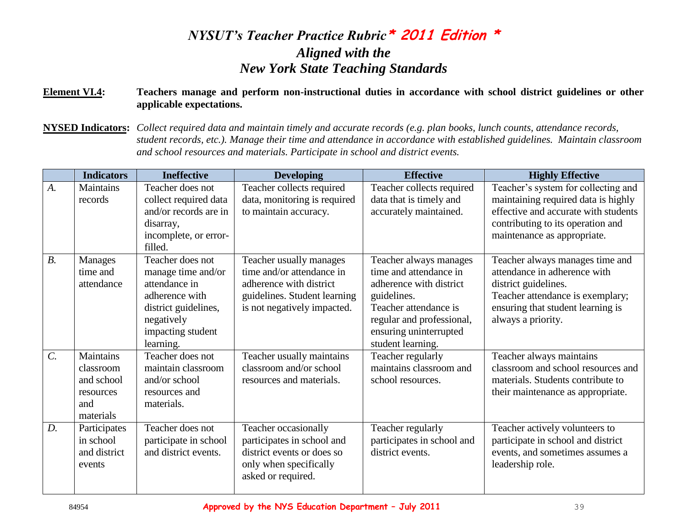#### **Element VI.4: Teachers manage and perform non-instructional duties in accordance with school district guidelines or other applicable expectations.**

**NYSED Indicators:** *Collect required data and maintain timely and accurate records (e.g. plan books, lunch counts, attendance records, student records, etc.). Manage their time and attendance in accordance with established guidelines. Maintain classroom and school resources and materials. Participate in school and district events.*

|                  | <b>Indicators</b>                                                     | <b>Ineffective</b>                                                                                                                                | <b>Developing</b>                                                                                                                              | <b>Effective</b>                                                                                                                                                                                | <b>Highly Effective</b>                                                                                                                                                                |
|------------------|-----------------------------------------------------------------------|---------------------------------------------------------------------------------------------------------------------------------------------------|------------------------------------------------------------------------------------------------------------------------------------------------|-------------------------------------------------------------------------------------------------------------------------------------------------------------------------------------------------|----------------------------------------------------------------------------------------------------------------------------------------------------------------------------------------|
| A.               | <b>Maintains</b><br>records                                           | Teacher does not<br>collect required data<br>and/or records are in<br>disarray,<br>incomplete, or error-<br>filled.                               | Teacher collects required<br>data, monitoring is required<br>to maintain accuracy.                                                             | Teacher collects required<br>data that is timely and<br>accurately maintained.                                                                                                                  | Teacher's system for collecting and<br>maintaining required data is highly<br>effective and accurate with students<br>contributing to its operation and<br>maintenance as appropriate. |
| $B$ .            | <b>Manages</b><br>time and<br>attendance                              | Teacher does not<br>manage time and/or<br>attendance in<br>adherence with<br>district guidelines,<br>negatively<br>impacting student<br>learning. | Teacher usually manages<br>time and/or attendance in<br>adherence with district<br>guidelines. Student learning<br>is not negatively impacted. | Teacher always manages<br>time and attendance in<br>adherence with district<br>guidelines.<br>Teacher attendance is<br>regular and professional,<br>ensuring uninterrupted<br>student learning. | Teacher always manages time and<br>attendance in adherence with<br>district guidelines.<br>Teacher attendance is exemplary;<br>ensuring that student learning is<br>always a priority. |
| $\overline{C}$ . | Maintains<br>classroom<br>and school<br>resources<br>and<br>materials | Teacher does not<br>maintain classroom<br>and/or school<br>resources and<br>materials.                                                            | Teacher usually maintains<br>classroom and/or school<br>resources and materials.                                                               | Teacher regularly<br>maintains classroom and<br>school resources.                                                                                                                               | Teacher always maintains<br>classroom and school resources and<br>materials. Students contribute to<br>their maintenance as appropriate.                                               |
| D.               | Participates<br>in school<br>and district<br>events                   | Teacher does not<br>participate in school<br>and district events.                                                                                 | Teacher occasionally<br>participates in school and<br>district events or does so<br>only when specifically<br>asked or required.               | Teacher regularly<br>participates in school and<br>district events.                                                                                                                             | Teacher actively volunteers to<br>participate in school and district<br>events, and sometimes assumes a<br>leadership role.                                                            |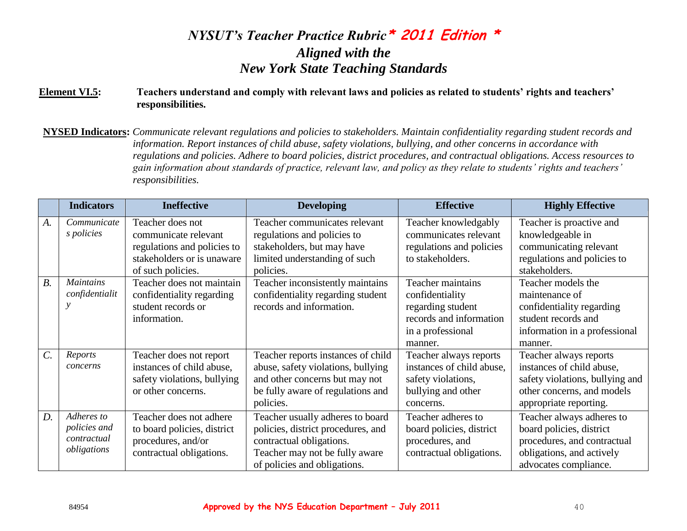#### **Element VI.5: Teachers understand and comply with relevant laws and policies as related to students' rights and teachers' responsibilities.**

**NYSED Indicators:** *Communicate relevant regulations and policies to stakeholders. Maintain confidentiality regarding student records and information. Report instances of child abuse, safety violations, bullying, and other concerns in accordance with regulations and policies. Adhere to board policies, district procedures, and contractual obligations. Access resources to gain information about standards of practice, relevant law, and policy as they relate to students' rights and teachers' responsibilities.*

|                  | <b>Indicators</b> | <b>Ineffective</b>          | <b>Developing</b>                  | <b>Effective</b>          | <b>Highly Effective</b>         |
|------------------|-------------------|-----------------------------|------------------------------------|---------------------------|---------------------------------|
| A.               | Communicate       | Teacher does not            | Teacher communicates relevant      | Teacher knowledgably      | Teacher is proactive and        |
|                  | s policies        | communicate relevant        | regulations and policies to        | communicates relevant     | knowledgeable in                |
|                  |                   | regulations and policies to | stakeholders, but may have         | regulations and policies  | communicating relevant          |
|                  |                   | stakeholders or is unaware  | limited understanding of such      | to stakeholders.          | regulations and policies to     |
|                  |                   | of such policies.           | policies.                          |                           | stakeholders.                   |
| $B$ .            | <b>Maintains</b>  | Teacher does not maintain   | Teacher inconsistently maintains   | Teacher maintains         | Teacher models the              |
|                  | confidentialit    | confidentiality regarding   | confidentiality regarding student  | confidentiality           | maintenance of                  |
|                  |                   | student records or          | records and information.           | regarding student         | confidentiality regarding       |
|                  |                   | information.                |                                    | records and information   | student records and             |
|                  |                   |                             |                                    | in a professional         | information in a professional   |
|                  |                   |                             |                                    | manner.                   | manner.                         |
| $\overline{C}$ . | Reports           | Teacher does not report     | Teacher reports instances of child | Teacher always reports    | Teacher always reports          |
|                  | concerns          | instances of child abuse,   | abuse, safety violations, bullying | instances of child abuse, | instances of child abuse,       |
|                  |                   | safety violations, bullying | and other concerns but may not     | safety violations,        | safety violations, bullying and |
|                  |                   | or other concerns.          | be fully aware of regulations and  | bullying and other        | other concerns, and models      |
|                  |                   |                             | policies.                          | concerns.                 | appropriate reporting.          |
| $D$ .            | Adheres to        | Teacher does not adhere     | Teacher usually adheres to board   | Teacher adheres to        | Teacher always adheres to       |
|                  | policies and      | to board policies, district | policies, district procedures, and | board policies, district  | board policies, district        |
|                  | contractual       | procedures, and/or          | contractual obligations.           | procedures, and           | procedures, and contractual     |
|                  | obligations       | contractual obligations.    | Teacher may not be fully aware     | contractual obligations.  | obligations, and actively       |
|                  |                   |                             | of policies and obligations.       |                           | advocates compliance.           |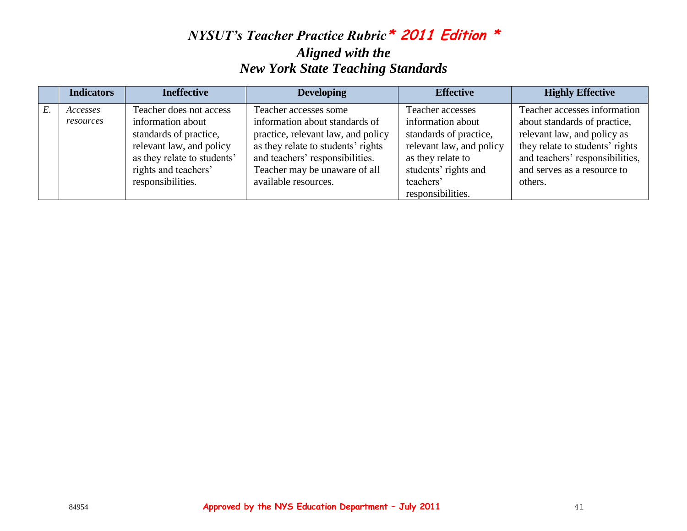| <b>Indicators</b>     | <b>Ineffective</b>                                                                                                                                                             | <b>Developing</b>                                                                                                                                                                                                               | <b>Effective</b>                                                                                                                                                           | <b>Highly Effective</b>                                                                                                                                                                                     |
|-----------------------|--------------------------------------------------------------------------------------------------------------------------------------------------------------------------------|---------------------------------------------------------------------------------------------------------------------------------------------------------------------------------------------------------------------------------|----------------------------------------------------------------------------------------------------------------------------------------------------------------------------|-------------------------------------------------------------------------------------------------------------------------------------------------------------------------------------------------------------|
| Accesses<br>resources | Teacher does not access<br>information about<br>standards of practice,<br>relevant law, and policy<br>as they relate to students'<br>rights and teachers'<br>responsibilities. | Teacher accesses some<br>information about standards of<br>practice, relevant law, and policy<br>as they relate to students' rights<br>and teachers' responsibilities.<br>Teacher may be unaware of all<br>available resources. | Teacher accesses<br>information about<br>standards of practice,<br>relevant law, and policy<br>as they relate to<br>students' rights and<br>teachers'<br>responsibilities. | Teacher accesses information<br>about standards of practice,<br>relevant law, and policy as<br>they relate to students' rights<br>and teachers' responsibilities,<br>and serves as a resource to<br>others. |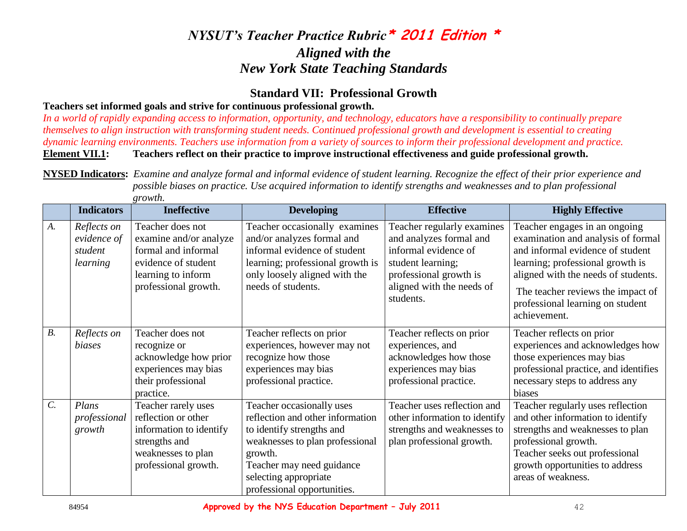### **Standard VII: Professional Growth**

#### **Teachers set informed goals and strive for continuous professional growth.**

*In a world of rapidly expanding access to information, opportunity, and technology, educators have a responsibility to continually prepare themselves to align instruction with transforming student needs. Continued professional growth and development is essential to creating dynamic learning environments. Teachers use information from a variety of sources to inform their professional development and practice.*  **Element VII.1: Teachers reflect on their practice to improve instructional effectiveness and guide professional growth.**

**NYSED Indicators:** *Examine and analyze formal and informal evidence of student learning. Recognize the effect of their prior experience and possible biases on practice. Use acquired information to identify strengths and weaknesses and to plan professional growth.*

|                  | <b>Indicators</b>                                 | <b>Ineffective</b>                                                                                                                     | <b>Developing</b>                                                                                                                                                                                                             | <b>Effective</b>                                                                                                                                                       | <b>Highly Effective</b>                                                                                                                                                                                                                                                     |
|------------------|---------------------------------------------------|----------------------------------------------------------------------------------------------------------------------------------------|-------------------------------------------------------------------------------------------------------------------------------------------------------------------------------------------------------------------------------|------------------------------------------------------------------------------------------------------------------------------------------------------------------------|-----------------------------------------------------------------------------------------------------------------------------------------------------------------------------------------------------------------------------------------------------------------------------|
| A.               | Reflects on<br>evidence of<br>student<br>learning | Teacher does not<br>examine and/or analyze<br>formal and informal<br>evidence of student<br>learning to inform<br>professional growth. | Teacher occasionally examines<br>and/or analyzes formal and<br>informal evidence of student<br>learning; professional growth is<br>only loosely aligned with the<br>needs of students.                                        | Teacher regularly examines<br>and analyzes formal and<br>informal evidence of<br>student learning;<br>professional growth is<br>aligned with the needs of<br>students. | Teacher engages in an ongoing<br>examination and analysis of formal<br>and informal evidence of student<br>learning; professional growth is<br>aligned with the needs of students.<br>The teacher reviews the impact of<br>professional learning on student<br>achievement. |
| B.               | Reflects on<br>biases                             | Teacher does not<br>recognize or<br>acknowledge how prior<br>experiences may bias<br>their professional<br>practice.                   | Teacher reflects on prior<br>experiences, however may not<br>recognize how those<br>experiences may bias<br>professional practice.                                                                                            | Teacher reflects on prior<br>experiences, and<br>acknowledges how those<br>experiences may bias<br>professional practice.                                              | Teacher reflects on prior<br>experiences and acknowledges how<br>those experiences may bias<br>professional practice, and identifies<br>necessary steps to address any<br>biases                                                                                            |
| $\overline{C}$ . | Plans<br>professional<br>growth                   | Teacher rarely uses<br>reflection or other<br>information to identify<br>strengths and<br>weaknesses to plan<br>professional growth.   | Teacher occasionally uses<br>reflection and other information<br>to identify strengths and<br>weaknesses to plan professional<br>growth.<br>Teacher may need guidance<br>selecting appropriate<br>professional opportunities. | Teacher uses reflection and<br>other information to identify<br>strengths and weaknesses to<br>plan professional growth.                                               | Teacher regularly uses reflection<br>and other information to identify<br>strengths and weaknesses to plan<br>professional growth.<br>Teacher seeks out professional<br>growth opportunities to address<br>areas of weakness.                                               |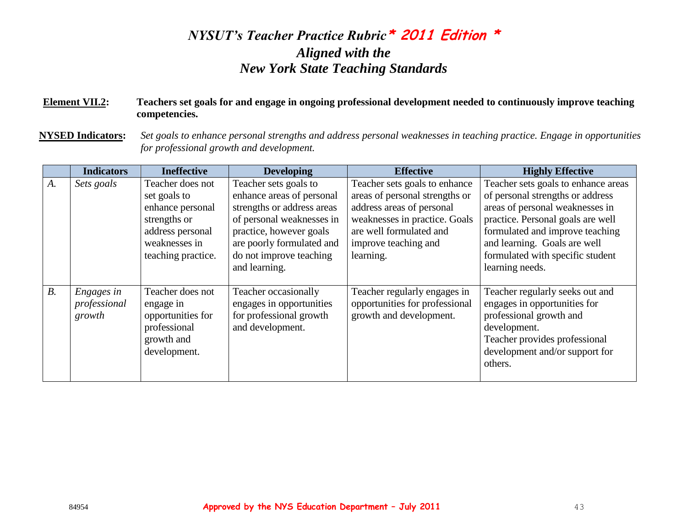#### **Element VII.2: Teachers set goals for and engage in ongoing professional development needed to continuously improve teaching competencies.**

**NYSED Indicators:** *Set goals to enhance personal strengths and address personal weaknesses in teaching practice. Engage in opportunities for professional growth and development.*

|             | <b>Indicators</b>                    | <b>Ineffective</b>                                                                                                              | <b>Developing</b>                                                                                                                                                                                                 | <b>Effective</b>                                                                                                                                                                              | <b>Highly Effective</b>                                                                                                                                                                                                                                                   |
|-------------|--------------------------------------|---------------------------------------------------------------------------------------------------------------------------------|-------------------------------------------------------------------------------------------------------------------------------------------------------------------------------------------------------------------|-----------------------------------------------------------------------------------------------------------------------------------------------------------------------------------------------|---------------------------------------------------------------------------------------------------------------------------------------------------------------------------------------------------------------------------------------------------------------------------|
| $A_{\cdot}$ | Sets goals                           | Teacher does not<br>set goals to<br>enhance personal<br>strengths or<br>address personal<br>weaknesses in<br>teaching practice. | Teacher sets goals to<br>enhance areas of personal<br>strengths or address areas<br>of personal weaknesses in<br>practice, however goals<br>are poorly formulated and<br>do not improve teaching<br>and learning. | Teacher sets goals to enhance<br>areas of personal strengths or<br>address areas of personal<br>weaknesses in practice. Goals<br>are well formulated and<br>improve teaching and<br>learning. | Teacher sets goals to enhance areas<br>of personal strengths or address<br>areas of personal weaknesses in<br>practice. Personal goals are well<br>formulated and improve teaching<br>and learning. Goals are well<br>formulated with specific student<br>learning needs. |
| $B$ .       | Engages in<br>professional<br>growth | Teacher does not<br>engage in<br>opportunities for<br>professional<br>growth and<br>development.                                | Teacher occasionally<br>engages in opportunities<br>for professional growth<br>and development.                                                                                                                   | Teacher regularly engages in<br>opportunities for professional<br>growth and development.                                                                                                     | Teacher regularly seeks out and<br>engages in opportunities for<br>professional growth and<br>development.<br>Teacher provides professional<br>development and/or support for<br>others.                                                                                  |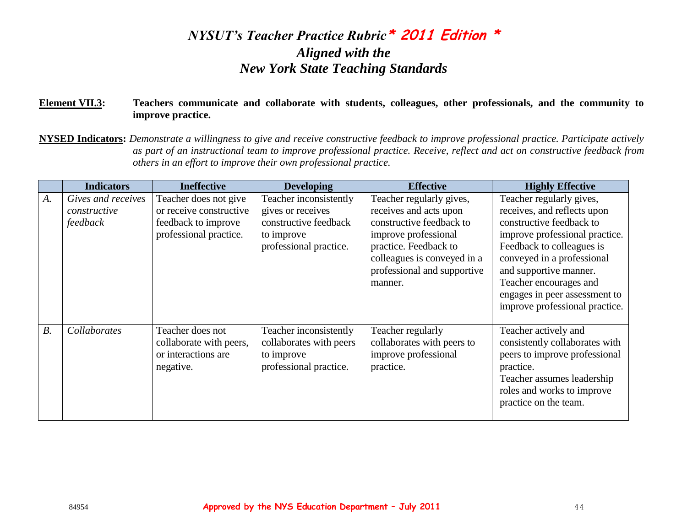#### **Element VII.3: Teachers communicate and collaborate with students, colleagues, other professionals, and the community to improve practice.**

**NYSED Indicators:** *Demonstrate a willingness to give and receive constructive feedback to improve professional practice. Participate actively as part of an instructional team to improve professional practice. Receive, reflect and act on constructive feedback from others in an effort to improve their own professional practice.* 

|       | <b>Indicators</b>                              | <b>Ineffective</b>                                                                                | <b>Developing</b>                                                                                            | <b>Effective</b>                                                                                                                                                                                         | <b>Highly Effective</b>                                                                                                                                                                                                                                                                                 |
|-------|------------------------------------------------|---------------------------------------------------------------------------------------------------|--------------------------------------------------------------------------------------------------------------|----------------------------------------------------------------------------------------------------------------------------------------------------------------------------------------------------------|---------------------------------------------------------------------------------------------------------------------------------------------------------------------------------------------------------------------------------------------------------------------------------------------------------|
| A.    | Gives and receives<br>constructive<br>feedback | Teacher does not give<br>or receive constructive<br>feedback to improve<br>professional practice. | Teacher inconsistently<br>gives or receives<br>constructive feedback<br>to improve<br>professional practice. | Teacher regularly gives,<br>receives and acts upon<br>constructive feedback to<br>improve professional<br>practice. Feedback to<br>colleagues is conveyed in a<br>professional and supportive<br>manner. | Teacher regularly gives,<br>receives, and reflects upon<br>constructive feedback to<br>improve professional practice.<br>Feedback to colleagues is<br>conveyed in a professional<br>and supportive manner.<br>Teacher encourages and<br>engages in peer assessment to<br>improve professional practice. |
| $B$ . | Collaborates                                   | Teacher does not<br>collaborate with peers,<br>or interactions are<br>negative.                   | Teacher inconsistently<br>collaborates with peers<br>to improve<br>professional practice.                    | Teacher regularly<br>collaborates with peers to<br>improve professional<br>practice.                                                                                                                     | Teacher actively and<br>consistently collaborates with<br>peers to improve professional<br>practice.<br>Teacher assumes leadership<br>roles and works to improve<br>practice on the team.                                                                                                               |